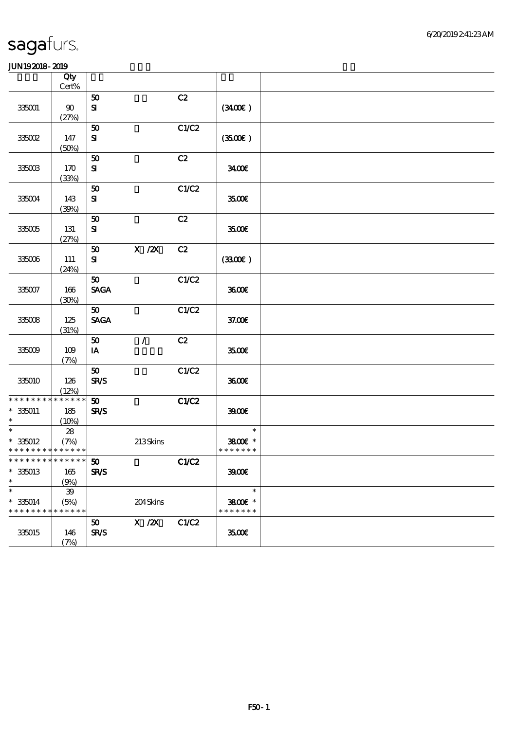|                                                                | Qty<br>$Cert\%$                   |                                            |               |              |                                    |  |
|----------------------------------------------------------------|-----------------------------------|--------------------------------------------|---------------|--------------|------------------------------------|--|
| 335001                                                         | $90\,$<br>(27%)                   | 50<br>$\mathbf{S}$                         |               | C2           | (3400)                             |  |
| 335002                                                         | 147<br>(50%)                      | 50<br>${\bf S}$                            |               | C1/C2        | (3500)                             |  |
| 335003                                                         | 170<br>(33%)                      | 50<br>${\bf S\!I}$                         |               | C2           | 3400                               |  |
| 335004                                                         | 143<br>(30%)                      | 50<br>${\bf s}$                            |               | C1/C2        | 3500E                              |  |
| 335005                                                         | 131<br>(27%)                      | 50<br>${\bf s}$                            |               | C2           | 3500                               |  |
| $33500\,$                                                      | 111<br>(24%)                      | 50<br>${\bf s}$                            | $X$ / $ZX$    | C2           | (3300)                             |  |
| 335007                                                         | 166<br>(30%)                      | 50<br><b>SAGA</b>                          |               | C1/C2        | 3600                               |  |
| $335008\,$                                                     | 125<br>(31%)                      | 50<br><b>SAGA</b>                          |               | C1/C2        | 37.00E                             |  |
| 335009                                                         | 109<br>(7%)                       | 50<br>IA                                   | $\mathcal{L}$ | C2           | 3500E                              |  |
| 335010                                                         | 126<br>(12%)                      | 50<br><b>SR/S</b>                          |               | C1/C2        | 3600E                              |  |
| * * * * * * * *<br>$* 335011$<br>$\ast$                        | * * * * * *<br>185<br>(10%)       | $\boldsymbol{\mathfrak{D}}$<br><b>SR/S</b> |               | <b>C1/C2</b> | 3900                               |  |
| $\overline{\ast}$<br>$* 335012$<br>* * * * * * * * * * * * * * | ${\bf 28}$<br>(7%)                |                                            | 213Skins      |              | $\ast$<br>3800E *<br>* * * * * * * |  |
| ***************** 50<br>$* 335013$<br>$\ast$                   | 165<br>(9%)                       | <b>SR/S</b>                                |               | C1/C2        | 3900E                              |  |
| $\ast$<br>$* 335014$<br>* * * * * * * *                        | ${\bf 39}$<br>(5%)<br>* * * * * * |                                            | 204Skins      |              | $\ast$<br>3800€ *<br>* * * * * * * |  |
| 335015                                                         | 146<br>(7%)                       | 50<br><b>SR/S</b>                          | $X \, /ZX$    | C1/C2        | 3500€                              |  |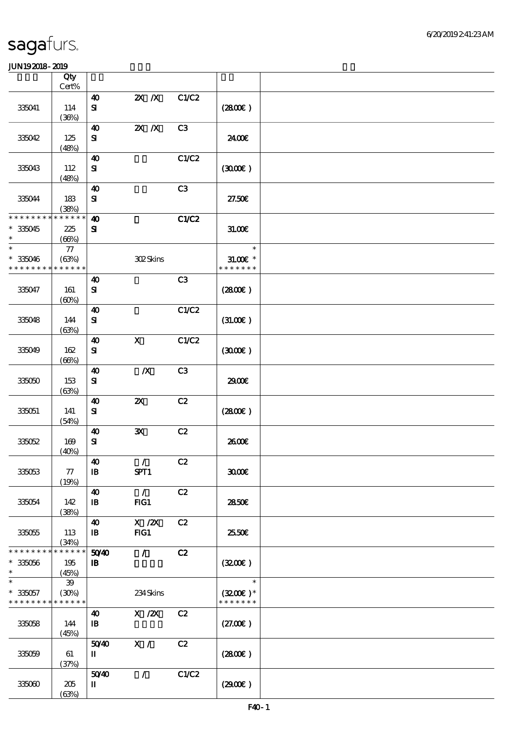|                                                                             | Qty<br>Cert%                   |                                       |                           |       |                                       |  |
|-----------------------------------------------------------------------------|--------------------------------|---------------------------------------|---------------------------|-------|---------------------------------------|--|
|                                                                             |                                | $\boldsymbol{\omega}$                 | $X$ $N$                   | C1/C2 |                                       |  |
| 335041                                                                      | 114<br>(36%)                   | $\mathbf{S}$                          |                           |       | (280)                                 |  |
| 335042                                                                      | 125<br>(48%)                   | $\boldsymbol{\omega}$<br>${\bf s}$    | $X$ $N$                   | C3    | 2400€                                 |  |
| 335043                                                                      | 112<br>(48%)                   | $\boldsymbol{\omega}$<br>${\bf s}$    |                           | C1/C2 | (300)                                 |  |
| 335044                                                                      | 183<br>(38%)                   | $\boldsymbol{\omega}$<br>$\mathbf{S}$ |                           | C3    | 27.50E                                |  |
| * * * * * * * * * * * * * *<br>$*335045$<br>$\ast$                          | 225<br>(66%)                   | $\boldsymbol{\omega}$<br>${\bf s}$    |                           | C1/C2 | 31.00E                                |  |
| $\ast$<br>$* 335046$<br>* * * * * * * *                                     | $77\,$<br>(63%)<br>* * * * * * |                                       | 302Skins                  |       | $\ast$<br>$31.005*$<br>* * * * * * *  |  |
| 335047                                                                      | 161<br>(60%)                   | $\boldsymbol{\omega}$<br>$\mathbf{S}$ |                           | C3    | (2800)                                |  |
| 335048                                                                      | 144<br>(63%)                   | $\boldsymbol{\omega}$<br>${\bf S}$    |                           | C1/C2 | (31.00)                               |  |
| 335049                                                                      | 162<br>(66%)                   | $\boldsymbol{\omega}$<br>${\bf s}$    | $\mathbf{x}$              | C1/C2 | (300)                                 |  |
| 335050                                                                      | 153<br>(63%)                   | $\boldsymbol{\omega}$<br>${\bf S}$    | $\boldsymbol{X}$          | C3    | 2900€                                 |  |
| 335051                                                                      | 141<br>(54%)                   | $\boldsymbol{\omega}$<br>${\bf s}$    | $\boldsymbol{\mathsf{z}}$ | C2    | (2800)                                |  |
| 335052                                                                      | 169<br>(40%)                   | $\boldsymbol{\omega}$<br>${\bf s}$    | ${\bf x}$                 | C2    | 2600E                                 |  |
| 335053                                                                      | 77<br>(19%)                    | $\boldsymbol{\omega}$<br>$\mathbf{B}$ | $\mathcal{L}$<br>SPT1     | C2    | 3000                                  |  |
| 335054                                                                      | 142<br>(38%)                   | $\boldsymbol{\omega}$<br>$\mathbf{B}$ | $\mathcal{L}$<br>FG1      | C2    | 2850E                                 |  |
| 335055                                                                      | 113<br>(34%)                   | $\boldsymbol{\omega}$<br>$\mathbf{B}$ | $X$ / $ZX$<br>FG1         | C2    | 2550E                                 |  |
| * * * * * * * * <mark>* * * * * * *</mark><br>$* 335056$<br>$\ast$          | 195<br>(45%)                   | 5040<br>$\mathbf{B}$                  | $\mathcal{L}$             | C2    | (3200)                                |  |
| $\overline{\ast}$<br>$* 335057$<br>* * * * * * * * <mark>* * * * * *</mark> | ${\bf 39}$<br>(30%)            |                                       | 234Skins                  |       | $\ast$<br>$(3200)$ *<br>* * * * * * * |  |
| 335058                                                                      | 144<br>(45%)                   | $\boldsymbol{\omega}$<br>$\mathbf{B}$ | X / ZX                    | C2    | (27.00)                               |  |
| 335059                                                                      | 61<br>(37%)                    | 5040<br>$\mathbf{I}$                  | X /                       | C2    | (2800)                                |  |
| 335060                                                                      | 205<br>(63%)                   | 5040<br>П                             | $\mathcal{L}$             | C1/C2 | (2900)                                |  |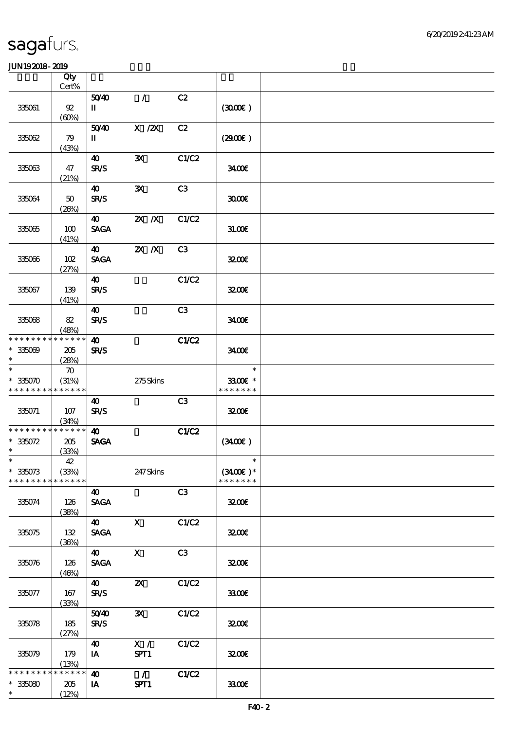|                             | Qty<br>Cert%       |                             |                       |       |                      |  |
|-----------------------------|--------------------|-----------------------------|-----------------------|-------|----------------------|--|
|                             |                    | 5040                        | $\mathcal{L}$         | C2    |                      |  |
| 335061                      | $92\,$<br>(60%)    | П                           |                       |       | (300)                |  |
|                             |                    | 5040                        | $X$ / $ZX$            | C2    |                      |  |
| 335062                      | 79<br>(43%)        | $\mathbf{I}$                |                       |       | (2900)               |  |
|                             |                    | 40                          | $\mathbf{x}$          | C1/C2 |                      |  |
| 335063                      | 47<br>(21%)        | <b>SR/S</b>                 |                       |       | 3400                 |  |
|                             |                    | 40                          | $\mathbf{x}$          | C3    |                      |  |
| 335064                      | $50\,$<br>(20%)    | <b>SR/S</b>                 |                       |       | 3000                 |  |
|                             |                    | 40                          | $X$ $X$               | C1/C2 |                      |  |
| 335065                      | 100<br>(41%)       | <b>SAGA</b>                 |                       |       | 31.00E               |  |
|                             |                    | 40                          | $2X$ $X$              | C3    |                      |  |
| 335066                      | 102<br>(27%)       | <b>SAGA</b>                 |                       |       | 3200E                |  |
|                             |                    | $\boldsymbol{\omega}$       |                       | C1/C2 |                      |  |
| 335067                      | 139<br>(41%)       | <b>SR/S</b>                 |                       |       | 3200E                |  |
|                             |                    | 40                          |                       | C3    |                      |  |
| 335068                      | 82                 | <b>SR/S</b>                 |                       |       | 3400E                |  |
|                             | (48%)              |                             |                       |       |                      |  |
| * * * * * * * *             | * * * * * *        | $\boldsymbol{\omega}$       |                       | C1/C2 |                      |  |
| $* 335009$<br>$\ast$        | 205<br>(28%)       | SR/S                        |                       |       | 3400                 |  |
| $\ast$                      | $\boldsymbol{\pi}$ |                             |                       |       | $\ast$               |  |
| $* 335070$                  | (31%)              |                             | 275Skins              |       | 3300€ *              |  |
| * * * * * * * *             | * * * * * *        |                             |                       |       | * * * * * * *        |  |
| 335071                      | 107                | 40<br><b>SR/S</b>           |                       | C3    | 3200E                |  |
|                             | (34%)              |                             |                       |       |                      |  |
| * * * * * * * * * * * * * * |                    | $\boldsymbol{\omega}$       |                       | C1/C2 |                      |  |
| $*335072$                   | 205                | <b>SAGA</b>                 |                       |       | (340)                |  |
| $\ast$                      | (33%)              |                             |                       |       |                      |  |
| $*$<br>$*335073$            | 42<br>(33%)        |                             | 247Skins              |       | $\ast$<br>$(3400)$ * |  |
| * * * * * * * *             | * * * * * *        |                             |                       |       | * * * * * * *        |  |
|                             |                    | $\boldsymbol{\omega}$       |                       | C3    |                      |  |
| 335074                      | 126<br>(38%)       | <b>SAGA</b>                 |                       |       | 3200E                |  |
|                             |                    | <b>40</b>                   | $\mathbf{X}$          | C1/C2 |                      |  |
| $3350\%$                    | 132                | <b>SAGA</b>                 |                       |       | 3200E                |  |
|                             | (36%)              |                             |                       |       |                      |  |
|                             |                    | 40                          | $\mathbf x$           | C3    |                      |  |
| 335076                      | 126                | <b>SAGA</b>                 |                       |       | 3200E                |  |
|                             | (46%)              |                             |                       |       |                      |  |
|                             |                    | $\boldsymbol{\omega}$       | $\boldsymbol{\alpha}$ | C1/C2 |                      |  |
| 335077                      | 167<br>(33%)       | <b>SR/S</b>                 |                       |       | 3300€                |  |
|                             |                    | 5040                        | $\mathbf{x}$          | C1/C2 |                      |  |
| 335078                      | 185                | <b>SR/S</b>                 |                       |       | 3200E                |  |
|                             | (27%)              |                             | $\mathbf{X}$ /        | C1/C2 |                      |  |
| 335079                      | 179                | $\boldsymbol{\omega}$<br>IA | SPT1                  |       | 3200E                |  |
|                             | (13%)              |                             |                       |       |                      |  |
| * * * * * * * *             | * * * * * *        | $\boldsymbol{\omega}$       | $\mathcal{L}$         | C1/C2 |                      |  |
| $*335080$                   | 205                | IA                          | SPT1                  |       | 3300                 |  |
| $\ast$                      | (12%)              |                             |                       |       |                      |  |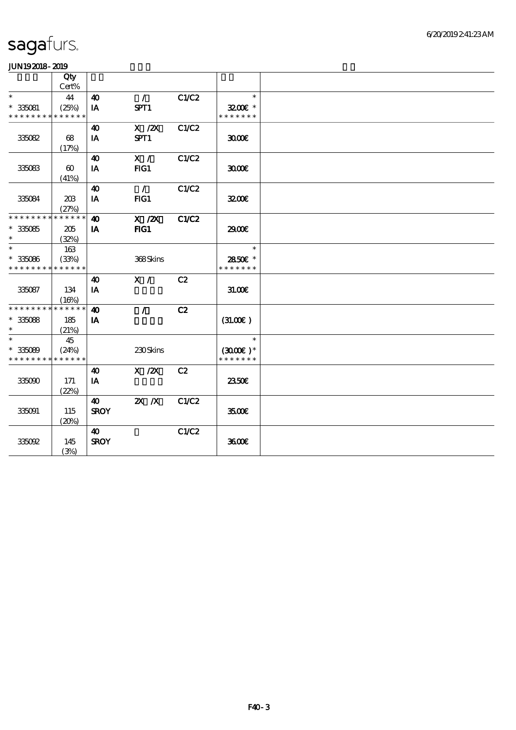|                                          | Qty<br>Cert%          |                       |               |              |                            |  |
|------------------------------------------|-----------------------|-----------------------|---------------|--------------|----------------------------|--|
| $\ast$                                   | 44                    | $\boldsymbol{\omega}$ | $\mathcal{L}$ | C1/C2        | $\ast$                     |  |
| $* 335081$                               | (25%)                 | IA                    | SPT1          |              | $3200$ $*$                 |  |
| * * * * * * * * * * * * * *              |                       |                       |               |              | * * * * * * *              |  |
|                                          |                       | 40                    | $X$ / $ZX$    | C1/C2        |                            |  |
| 335082                                   | 68                    | IA                    | SPT1          |              | 3000                       |  |
|                                          | (17%)                 |                       |               |              |                            |  |
|                                          |                       | 40                    | X /           | C1/C2        |                            |  |
| 335083                                   | $\boldsymbol{\omega}$ | IA                    | FIG1          |              | 3000                       |  |
|                                          | (41%)                 |                       |               |              |                            |  |
|                                          |                       | $\boldsymbol{\omega}$ | $\mathcal{L}$ | C1/C2        |                            |  |
| 335084                                   | 203                   | IA                    | FIG1          |              | 3200E                      |  |
|                                          | (27%)                 |                       |               |              |                            |  |
| * * * * * * * * * * * * * *              |                       | $\boldsymbol{\omega}$ | $X$ / $ZX$    | <b>C1/C2</b> |                            |  |
| $^\ast$ 335085                           | 205                   | IA                    | FIG1          |              | 2900€                      |  |
| $\ast$                                   | (32%)                 |                       |               |              |                            |  |
| $\ast$                                   | 163                   |                       |               |              | $\ast$                     |  |
| $* 335086$                               | (33%)                 |                       | 368Skins      |              | 2850E *                    |  |
| * * * * * * * * <mark>* * * * * *</mark> |                       |                       |               |              | * * * * * * *              |  |
|                                          |                       | $\boldsymbol{\omega}$ | X /           | C2           |                            |  |
| 335087                                   | 134                   | IA                    |               |              | 3100                       |  |
| * * * * * * * * * * * * * *              | (16%)                 |                       |               |              |                            |  |
|                                          |                       | 40                    | $\mathcal{L}$ | C2           |                            |  |
| $^\ast$ 335088<br>$\ast$                 | 185                   | IA                    |               |              | (31.00)                    |  |
| $\ast$                                   | (21%)<br>45           |                       |               |              | $\ast$                     |  |
| $* 335089$                               | (24%)                 |                       | 230Skins      |              |                            |  |
| * * * * * * * * * * * * * *              |                       |                       |               |              | $(300)$ *<br>* * * * * * * |  |
|                                          |                       | $\boldsymbol{\omega}$ | $X$ / $ZX$    | C2           |                            |  |
| 335090                                   | 171                   | IA                    |               |              | 2350E                      |  |
|                                          | (22%)                 |                       |               |              |                            |  |
|                                          |                       | 40                    | $X$ $N$       | C1/C2        |                            |  |
| 335091                                   | 115                   | <b>SROY</b>           |               |              | 3500€                      |  |
|                                          | (20%)                 |                       |               |              |                            |  |
|                                          |                       | $\boldsymbol{\omega}$ |               | C1/C2        |                            |  |
| 335092                                   | 145                   | <b>SROY</b>           |               |              | 3600                       |  |
|                                          | (3%)                  |                       |               |              |                            |  |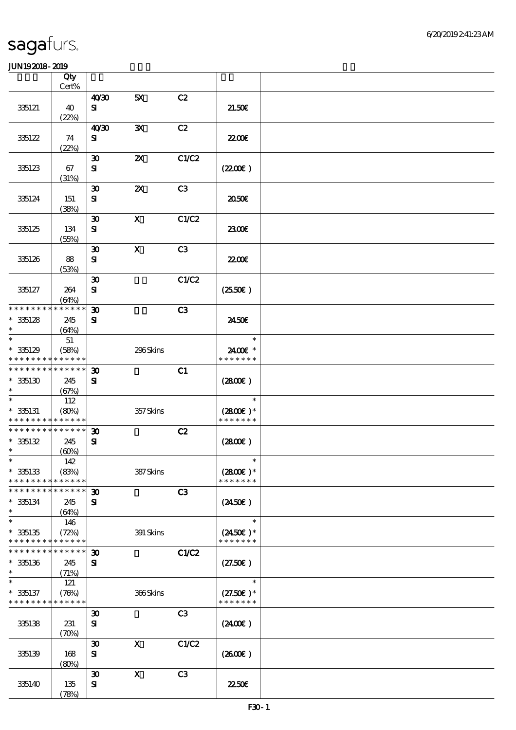|                                                         | Qty<br>Cert%                      |                                             |                           |                |                                               |  |
|---------------------------------------------------------|-----------------------------------|---------------------------------------------|---------------------------|----------------|-----------------------------------------------|--|
|                                                         |                                   | 40'30                                       | 5X                        | C2             |                                               |  |
| 335121                                                  | 40<br>(22%)                       | ${\bf s}$                                   |                           |                | 21.50E                                        |  |
| 335122                                                  | 74                                | 40'30<br>${\bf s}$                          | ${\bf X}$                 | C2             | <b>2200</b> €                                 |  |
| 335123                                                  | (22%)<br>67                       | $\boldsymbol{\mathfrak{D}}$<br>${\bf s}$    | $\boldsymbol{\mathsf{z}}$ | C1/C2          | (220E)                                        |  |
| 335124                                                  | (31%)<br>151                      | $\boldsymbol{\mathfrak{D}}$<br>${\bf s}$    | $\boldsymbol{\mathsf{z}}$ | C3             | 2050E                                         |  |
| 335125                                                  | (38%)<br>134                      | $\boldsymbol{\mathfrak{D}}$<br>${\bf s}$    | $\boldsymbol{\mathsf{X}}$ | C1/C2          | 2300                                          |  |
| 335126                                                  | (55%)<br>88                       | $\boldsymbol{\mathfrak{D}}$<br>${\bf s}$    | $\mathbf{x}$              | C3             | <b>2200E</b>                                  |  |
| 335127                                                  | (53%)<br>264<br>(64%)             | $\boldsymbol{\mathfrak{D}}$<br>$\mathbf{S}$ |                           | C1/C2          | $(2550\varepsilon)$                           |  |
| * * * * * * * * * * * * * *<br>$*35128$<br>$\ast$       | 245<br>(64%)                      | $\boldsymbol{\mathfrak{D}}$<br>${\bf s}$    |                           | C <sub>3</sub> | 2450E                                         |  |
| $\ast$<br>$*335129$<br>* * * * * * * * * * * * * *      | 51<br>(58%)                       |                                             | 296Skins                  |                | $\ast$<br>2400€ *<br>* * * * * * *            |  |
| * * * * * * * * <mark>* * * * * * *</mark><br>$*335130$ | 245<br>(67%)                      | $\boldsymbol{\mathfrak{D}}$<br>${\bf s}$    |                           | C1             | (2800)                                        |  |
| $\ast$<br>$* 335131$<br>* * * * * * * * * * * * * *     | 112<br>(80%)                      |                                             | 357Skins                  |                | $\ast$<br>$(2800)$ *<br>* * * * * * *         |  |
| * * * * * * * * * * * * * *<br>$*335132$<br>$\ast$      | 245<br>(60%)                      | $\boldsymbol{\mathfrak{D}}$<br>${\bf s}$    |                           | C2             | (2800)                                        |  |
| $\ast$<br>$*335133$<br>* * * * * * * *                  | 142<br>(83%)<br>* * * * * *       |                                             | 387Skins                  |                | $\ast$<br>$(2800)$ *<br>* * * * * * *         |  |
| * * * * * * *<br>$*35134$<br>$\ast$                     | * * * * * *<br>245<br>(64%)       | $\boldsymbol{\mathfrak{D}}$<br>${\bf s}$    |                           | C3             | $(2450\epsilon)$                              |  |
| $\ast$<br>$*335135$<br>* * * * * * * * * * * * * *      | 146<br>(72%)                      |                                             | 391 Skins                 |                | $\ast$<br>$(2450\epsilon)^*$<br>* * * * * * * |  |
| * * * * * * * *<br>$*335136$<br>$\ast$                  | * * * * * *<br>245<br>(71%)       | $\boldsymbol{\mathfrak{D}}$<br>${\bf s}$    |                           | C1/C2          | (27.50)                                       |  |
| $\ast$<br>$* 335137$<br>* * * * * * * * * * * * * *     | 121<br>(76%)                      |                                             | 366Skins                  |                | $\ast$<br>$(27.50)$ *<br>* * * * * * *        |  |
| 335138                                                  | 231<br>$(\mathcal{X}\mathcal{Y})$ | $\boldsymbol{\mathfrak{D}}$<br>$\mathbf{S}$ |                           | C <sub>3</sub> | $(2400\varepsilon)$                           |  |
| 335139                                                  | 168<br>(80%)                      | $\boldsymbol{\mathfrak{D}}$<br>${\bf S}$    | $\boldsymbol{\mathrm{X}}$ | C1/C2          | (260E)                                        |  |
| 335140                                                  | 135<br>(78%)                      | $\boldsymbol{\mathfrak{D}}$<br>$\mathbf{S}$ | $\boldsymbol{\mathrm{X}}$ | C3             | <b>22.50€</b>                                 |  |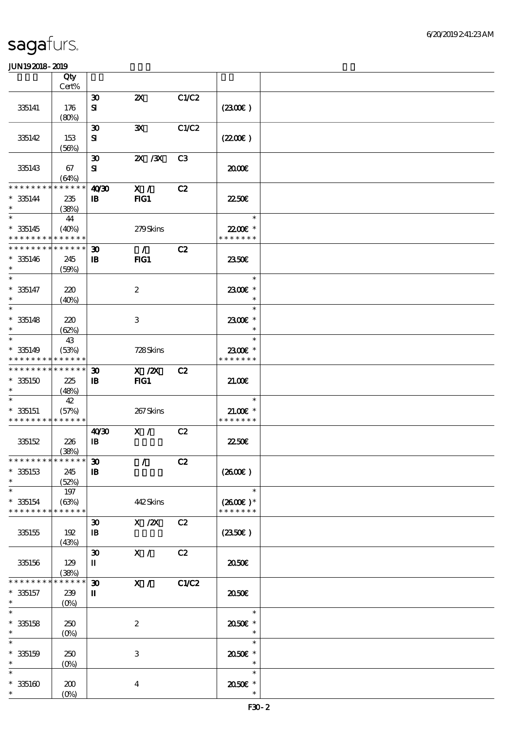|                                            | Qty<br>Cert%    |                                                |                           |                |                   |  |
|--------------------------------------------|-----------------|------------------------------------------------|---------------------------|----------------|-------------------|--|
|                                            |                 | $\boldsymbol{\mathfrak{D}}$                    | $\boldsymbol{\mathsf{Z}}$ | C1/C2          |                   |  |
| 335141                                     | 176             | ${\bf s}$                                      |                           |                | (2300)            |  |
|                                            | (80%)           |                                                |                           |                |                   |  |
|                                            |                 | $\boldsymbol{\mathfrak{D}}$                    | $\mathbf{x}$              | C1/C2          |                   |  |
| 335142                                     | 153             | ${\bf s}$                                      |                           |                | (220E)            |  |
|                                            | (56%)           |                                                |                           |                |                   |  |
|                                            |                 | $\boldsymbol{\mathfrak{D}}$                    | $2X$ $/3X$                | C <sub>3</sub> |                   |  |
| 335143                                     | 67              | ${\bf s}$                                      |                           |                | 2000              |  |
|                                            | (64%)           |                                                |                           |                |                   |  |
| * * * * * * * *                            | $* * * * * * *$ | 40'30                                          | X /                       | C2             |                   |  |
| $* 335144$<br>$\ast$                       | 235<br>(38%)    | $\mathbf{B}$                                   | $HG1$                     |                | 2250E             |  |
| $\overline{\ast}$                          | 44              |                                                |                           |                | $\ast$            |  |
| $* 335145$                                 | (40%)           |                                                | 279Skins                  |                | 22.00€ *          |  |
| * * * * * * * * <mark>* * * * * *</mark> * |                 |                                                |                           |                | * * * * * * *     |  |
| * * * * * * * * * * * * * *                |                 | $\boldsymbol{\mathfrak{D}}$                    | $\mathcal{L}$             | C2             |                   |  |
| $* 335146$                                 | 245             | $\mathbf{B}$                                   | FIG1                      |                | 2350E             |  |
| $\ast$                                     | (50%)           |                                                |                           |                |                   |  |
| $\ast$                                     |                 |                                                |                           |                | $\ast$            |  |
| $* 335147$                                 | 220             |                                                | $\boldsymbol{2}$          |                | 2300€ *           |  |
| $\ast$<br>$\ast$                           | (40%)           |                                                |                           |                | $\ast$            |  |
|                                            |                 |                                                |                           |                | $\ast$            |  |
| $* 335148$<br>$\ast$                       | 220             |                                                | 3                         |                | 2300€ *<br>$\ast$ |  |
| $\ast$                                     | (62%)<br>43     |                                                |                           |                | $\ast$            |  |
| $* 335149$                                 | (53%)           |                                                | 728Skins                  |                | 2300€ *           |  |
| * * * * * * * * * * * * * *                |                 |                                                |                           |                | * * * * * * *     |  |
| * * * * * * * * * * * * * *                |                 | $\boldsymbol{\mathfrak{D}}$                    | $X$ / $ZX$                | C2             |                   |  |
| $*335150$                                  | 225             | $\mathbf{B}$                                   | $HG1$                     |                | 21.00E            |  |
|                                            | (48%)           |                                                |                           |                |                   |  |
|                                            | 42              |                                                |                           |                | $\ast$            |  |
| $* 335151$                                 | (57%)           |                                                | 267Skins                  |                | $21.00E$ *        |  |
| * * * * * * * * * * * * * *                |                 |                                                |                           |                | * * * * * * *     |  |
| 335152                                     | 226             | 40 <sup>20</sup><br>$\, {\bf I} \! {\bf B} \,$ | X /                       | C2             | 2250E             |  |
|                                            | (38%)           |                                                |                           |                |                   |  |
| * * * * * * * * * * * * * * *              |                 | $\boldsymbol{\mathfrak{D}}$                    | $\mathcal{L}$             | C2             |                   |  |
| $*35153$                                   | 245             | $\mathbf I\mathbf B$                           |                           |                | (2600)            |  |
| $\ast$                                     | (52%)           |                                                |                           |                |                   |  |
| $\ast$                                     | 197             |                                                |                           |                | $\ast$            |  |
| $*335154$                                  | (63%)           |                                                | 442Skins                  |                | $(2600E)*$        |  |
| * * * * * * * *                            | * * * * * *     |                                                |                           |                | * * * * * * *     |  |
|                                            |                 | $\boldsymbol{\mathfrak{D}}$                    | $X \, /ZX$                | C2             |                   |  |
| 335155                                     | 192<br>(43%)    | $\, {\bf I} \! {\bf B} \,$                     |                           |                | $(2350\epsilon)$  |  |
|                                            |                 | $\boldsymbol{\mathfrak{D}}$                    | X /                       | C2             |                   |  |
| 335156                                     | 129             | П                                              |                           |                | 2050€             |  |
|                                            | (38%)           |                                                |                           |                |                   |  |
| * * * * * *                                | * * * * * *     | $\boldsymbol{\mathfrak{D}}$                    | X /                       | C1/C2          |                   |  |
| $* 335157$                                 | 239             | П                                              |                           |                | ææ                |  |
| $\ast$                                     | $(O\%)$         |                                                |                           |                |                   |  |
| $\ast$                                     |                 |                                                |                           |                | $\ast$            |  |
| $* 335158$<br>$\ast$                       | 250             |                                                | $\boldsymbol{2}$          |                | 2050E *<br>$\ast$ |  |
| $\ast$                                     | (0%)            |                                                |                           |                | $\ast$            |  |
| $* 335159$                                 | 250             |                                                | $\,3$                     |                | 2050E *           |  |
| $\ast$                                     | $(0\%)$         |                                                |                           |                |                   |  |
| $\ast$                                     |                 |                                                |                           |                | $\ast$            |  |
| $* 35160$                                  | 200             |                                                | $\boldsymbol{4}$          |                | 2050E *           |  |
| $\ast$                                     | $(O\%)$         |                                                |                           |                |                   |  |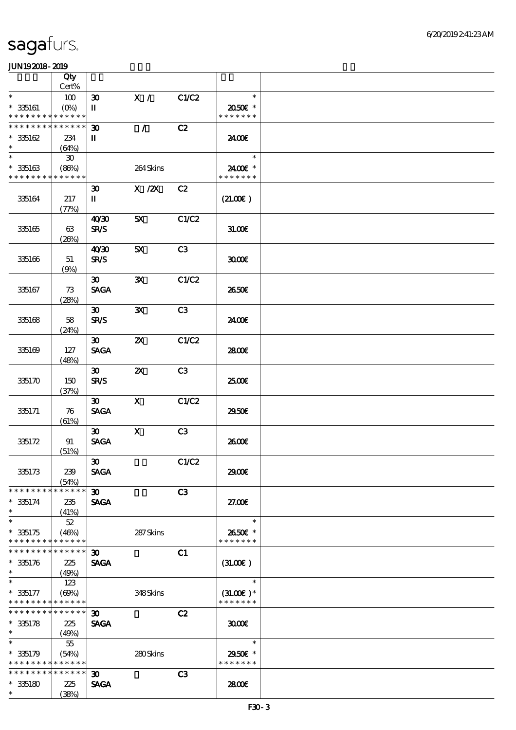|                               | Qty                         |                                            |                           |       |               |  |
|-------------------------------|-----------------------------|--------------------------------------------|---------------------------|-------|---------------|--|
|                               | Cert%                       |                                            |                           |       |               |  |
| $\ast$                        | 100                         | $\boldsymbol{\mathfrak{D}}$                | X /                       | C1/C2 | $\ast$        |  |
| $* 335161$                    | $(O\%)$                     | П                                          |                           |       | 2050E *       |  |
| * * * * * * * *               | * * * * * *                 |                                            |                           |       | * * * * * * * |  |
| * * * * * * * *               | * * * * * *                 | $\boldsymbol{\mathfrak{D}}$                | $\mathcal{L}$             | C2    |               |  |
| $*35162$                      | 234                         | П                                          |                           |       | 2400€         |  |
| $\ast$                        | (64%)                       |                                            |                           |       |               |  |
| $\ast$                        | $\boldsymbol{\mathfrak{D}}$ |                                            |                           |       | $\ast$        |  |
| $* 335163$                    | (86%)                       |                                            | 264Skins                  |       | 2400€ *       |  |
| * * * * * * * *               | * * * * * *                 |                                            |                           |       | * * * * * * * |  |
|                               |                             | $\boldsymbol{\mathfrak{D}}$                | $X$ / $ZX$                | C2    |               |  |
| 335164                        | 217                         | П                                          |                           |       | (21.00)       |  |
|                               | (77%)                       |                                            |                           |       |               |  |
|                               |                             | 40'30                                      | 5X                        | C1/C2 |               |  |
| 335165                        | 63                          | <b>SR/S</b>                                |                           |       | 31.006        |  |
|                               | (20%)                       |                                            |                           |       |               |  |
|                               |                             | 40'30                                      | 5X                        | C3    |               |  |
| 335166                        | 51                          | <b>SR/S</b>                                |                           |       | 3000          |  |
|                               | (9%)                        |                                            |                           |       |               |  |
|                               |                             | $30-1$                                     | ${\bf X}$                 | C1/C2 |               |  |
| 335167                        | 73<br>(28%)                 | <b>SAGA</b>                                |                           |       | 2650E         |  |
|                               |                             |                                            |                           | C3    |               |  |
|                               |                             | $\boldsymbol{\mathfrak{D}}$<br><b>SR/S</b> | $\mathbf{x}$              |       |               |  |
| 335168                        | 58                          |                                            |                           |       | 2400E         |  |
|                               | (24%)                       | $\boldsymbol{\mathfrak{D}}$                | $\boldsymbol{\mathsf{Z}}$ | C1/C2 |               |  |
| 335169                        | 127                         | <b>SAGA</b>                                |                           |       | 2800E         |  |
|                               | (48%)                       |                                            |                           |       |               |  |
|                               |                             | 30 <sup>2</sup>                            | $\boldsymbol{\mathsf{z}}$ | C3    |               |  |
| 335170                        | 150                         | <b>SR/S</b>                                |                           |       | 2500E         |  |
|                               | (37%)                       |                                            |                           |       |               |  |
|                               |                             | 30 <sub>o</sub>                            | $\mathbf{x}$              | C1/C2 |               |  |
| 335171                        | 76                          | <b>SAGA</b>                                |                           |       | 2950E         |  |
|                               | (61%)                       |                                            |                           |       |               |  |
|                               |                             | $\boldsymbol{\mathfrak{D}}$                | $\mathbf X$               | C3    |               |  |
| 335172                        | 91                          | <b>SAGA</b>                                |                           |       | 2600E         |  |
|                               | (51%)                       |                                            |                           |       |               |  |
|                               |                             | $\boldsymbol{\mathfrak{B}}$                |                           | C1/C2 |               |  |
| 335173                        | 239                         | <b>SAGA</b>                                |                           |       | 2900€         |  |
|                               | (54%)                       |                                            |                           |       |               |  |
| * * * * * * * *               | * * * * * *                 | $30-1$                                     |                           | C3    |               |  |
| $*335174$                     | 235                         | <b>SAGA</b>                                |                           |       | 27.00E        |  |
| $\ast$                        | (41%)                       |                                            |                           |       |               |  |
| $\ast$                        | 52                          |                                            |                           |       | $\ast$        |  |
| $*335175$                     | (46%)                       |                                            | 287Skins                  |       | 2650€ *       |  |
| * * * * * * * *               | * * * * * *                 |                                            |                           |       | * * * * * * * |  |
| * * * * * * * * * * * * * * * |                             | $\boldsymbol{\mathfrak{D}}$                |                           | C1    |               |  |
| $* 335176$                    | 225                         | <b>SAGA</b>                                |                           |       | (3L0E)        |  |
| $\ast$                        | (49%)                       |                                            |                           |       |               |  |
| $\ast$                        | 123                         |                                            |                           |       | $\ast$        |  |
| $* 335177$                    | (60%)                       |                                            | 348Skins                  |       | $(31.00)$ *   |  |
| * * * * * * * * * * * * * *   |                             |                                            |                           |       | * * * * * * * |  |
| ******** <mark>******</mark>  |                             | 30 <sub>o</sub>                            |                           | C2    |               |  |
| $* 335178$                    | 225                         | <b>SAGA</b>                                |                           |       | 3000          |  |
| $\ast$<br>$\ast$              | (49%)                       |                                            |                           |       |               |  |
|                               | 55                          |                                            |                           |       | $\ast$        |  |
| $*335179$                     | (54%)                       |                                            | 280Skins                  |       | 2950E *       |  |
| * * * * * * * * * * * * * *   |                             |                                            |                           |       | * * * * * * * |  |
| * * * * * * * *               | * * * * * *                 | $\boldsymbol{\mathfrak{D}}$                |                           | C3    |               |  |
| $^\ast$ 335180                | 225                         | <b>SAGA</b>                                |                           |       | 2800E         |  |
| $\ast$                        | (38%)                       |                                            |                           |       |               |  |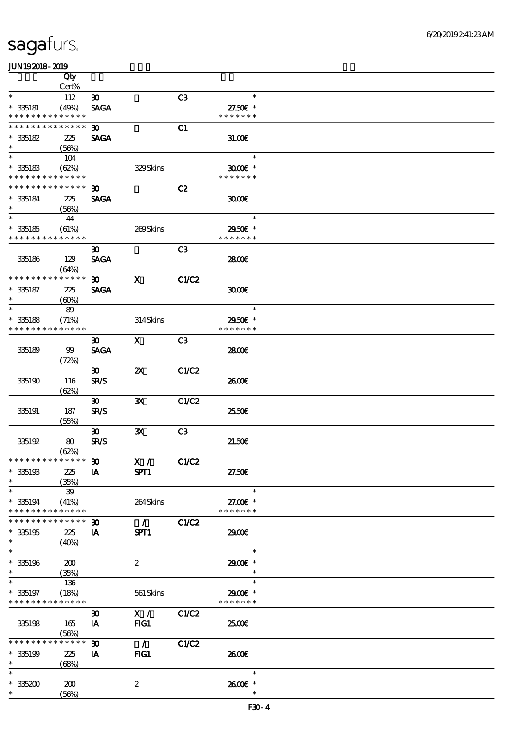|                               | Qty         |                             |                             |                |               |  |
|-------------------------------|-------------|-----------------------------|-----------------------------|----------------|---------------|--|
|                               | Cert%       |                             |                             |                |               |  |
| $\ast$                        | 112         | $\boldsymbol{\mathfrak{D}}$ |                             | C3             | $\ast$        |  |
| $* 335181$                    | (49%)       | <b>SAGA</b>                 |                             |                | 27.50£ *      |  |
| * * * * * * * *               | * * * * * * |                             |                             |                | * * * * * * * |  |
| * * * * * * * *               | * * * * * * | $\boldsymbol{\mathfrak{D}}$ |                             | C1             |               |  |
| $* 335182$                    | 225         | <b>SAGA</b>                 |                             |                | 31.00E        |  |
| $\ast$                        | (56%)       |                             |                             |                |               |  |
| $\ast$                        | 104         |                             |                             |                | $\ast$        |  |
| $*35183$                      | (62%)       |                             | 329Skins                    |                | $3000$ $*$    |  |
| * * * * * * * *               | * * * * * * |                             |                             |                | * * * * * * * |  |
| * * * * * * * *               | * * * * * * | $\boldsymbol{\mathfrak{D}}$ |                             | C2             |               |  |
| $* 335184$                    | 225         | <b>SAGA</b>                 |                             |                | 3000          |  |
| $\ast$                        | (56%)       |                             |                             |                |               |  |
| $\ast$                        | 44          |                             |                             |                | $\ast$        |  |
| $* 335185$                    | (61%)       |                             | 269Skins                    |                | 2950E *       |  |
| * * * * * * * *               | * * * * * * |                             |                             |                | * * * * * * * |  |
|                               |             | $\boldsymbol{\mathfrak{D}}$ |                             | C <sub>3</sub> |               |  |
| 335186                        | 129         | <b>SAGA</b>                 |                             |                | 2800€         |  |
|                               | (64%)       |                             |                             |                |               |  |
| * * * * * * * *               | * * * * * * | 30 <sub>o</sub>             | $\mathbf{x}$                | C1/C2          |               |  |
| $* 35187$                     | 225         | <b>SAGA</b>                 |                             |                | 3000          |  |
| $\ast$                        | (60%)       |                             |                             |                |               |  |
| $\ast$                        | 89          |                             |                             |                | $\ast$        |  |
| $*35188$                      | (71%)       |                             | $314$ Skins                 |                | 2950E *       |  |
| * * * * * * * *               | * * * * * * |                             |                             |                | * * * * * * * |  |
|                               |             | $\boldsymbol{\mathfrak{D}}$ | $\mathbf{X}$                | C <sub>3</sub> |               |  |
| 335189                        | 99          | <b>SAGA</b>                 |                             |                | 2800E         |  |
|                               | (72%)       |                             |                             |                |               |  |
|                               |             | $\boldsymbol{\mathfrak{D}}$ | $\boldsymbol{\mathsf{z}}$   | C1/C2          |               |  |
| 335190                        | 116         | <b>SR/S</b>                 |                             |                | 2600E         |  |
|                               | (62%)       |                             |                             |                |               |  |
|                               |             | $\boldsymbol{\mathfrak{B}}$ | $\mathbf{x}$                | C1/C2          |               |  |
| 335191                        | 187         | <b>SR/S</b>                 |                             |                | 25.50E        |  |
|                               | (55%)       | $\boldsymbol{\mathfrak{D}}$ | $\mathbf{x}$                | C3             |               |  |
| 335192                        | 80          | <b>SR/S</b>                 |                             |                | 21.50E        |  |
|                               | (62%)       |                             |                             |                |               |  |
| * * * * * * * * * * * * * * * |             | $\boldsymbol{\mathfrak{D}}$ | X / C1/C2                   |                |               |  |
| $*335193$                     | 225         | <b>IA</b>                   | SPT1                        |                | 27.50E        |  |
| $\ast$                        | (35%)       |                             |                             |                |               |  |
| $\ast$                        | 39          |                             |                             |                | $\ast$        |  |
| $*335194$                     | (41%)       |                             | 264Skins                    |                | 27.00 £*      |  |
| * * * * * * * *               | * * * * * * |                             |                             |                | * * * * * * * |  |
| * * * * * * *                 | * * * * * * | $\boldsymbol{\mathfrak{D}}$ | $\mathcal{L} = \mathcal{L}$ | C1/C2          |               |  |
| $*335195$                     | 225         | IA                          | SPT1                        |                | 2900€         |  |
| $\ast$                        | (40%)       |                             |                             |                |               |  |
| $\ast$                        |             |                             |                             |                | $\ast$        |  |
| $*335196$                     | 200         |                             | $\boldsymbol{2}$            |                | 2900E *       |  |
| $\ast$                        | (35%)       |                             |                             |                | $\ast$        |  |
|                               | 136         |                             |                             |                | $\ast$        |  |
| $*335197$                     | (18%)       |                             | 561 Skins                   |                | 2900€ *       |  |
| * * * * * * * * * * * * * *   |             |                             |                             |                | * * * * * * * |  |
|                               |             | $\boldsymbol{\mathfrak{D}}$ | X /                         | C1/C2          |               |  |
| 335198                        | 165         | IA                          | FG1                         |                | 2500€         |  |
|                               | (56%)       |                             |                             |                |               |  |
| * * * * * * * *               | * * * * * * | $\boldsymbol{\mathfrak{D}}$ | $\overline{\phantom{a}}$    | C1/C2          |               |  |
| $*335199$                     | 225         | <b>IA</b>                   | FG1                         |                | 2600€         |  |
| $\ast$                        | (68%)       |                             |                             |                |               |  |
| $\ast$                        |             |                             |                             |                | $\ast$        |  |
| $^\ast$ 335200                | 200         |                             | $\boldsymbol{2}$            |                | 2600E *       |  |
| $\ast$                        | (56%)       |                             |                             |                | $\ast$        |  |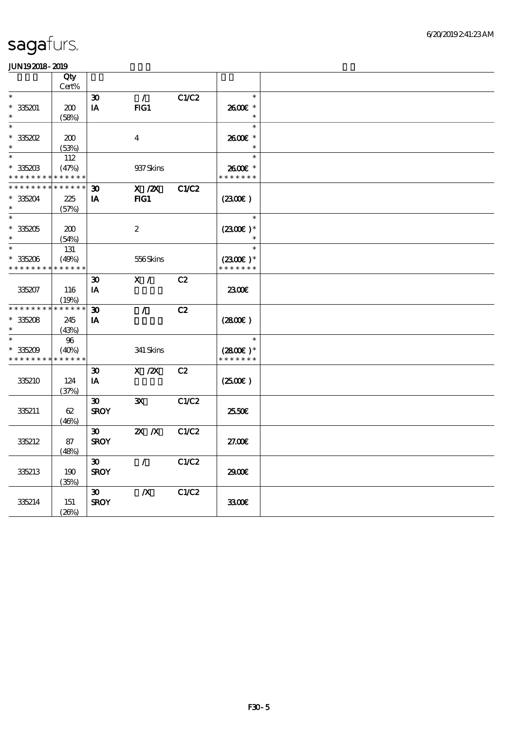|                                          | Qty<br>Cert% |                             |                  |              |                        |  |
|------------------------------------------|--------------|-----------------------------|------------------|--------------|------------------------|--|
| $\ast$                                   |              |                             |                  |              | $\ast$                 |  |
|                                          |              | $\boldsymbol{\mathfrak{D}}$ | $\mathcal{T}$    | C1/C2        |                        |  |
| $*335201$                                | 200          | IA                          | FIG1             |              | 2600€ *                |  |
| $\ast$                                   | (58%)        |                             |                  |              | $\ast$                 |  |
| $\ast$                                   |              |                             |                  |              | $\ast$                 |  |
| $*35202$                                 | 200          |                             | $\boldsymbol{4}$ |              | $2600$ $\varepsilon$ * |  |
| $\ast$                                   | (53%)        |                             |                  |              | $\ast$                 |  |
| $\ast$                                   | 112          |                             |                  |              | $\ast$                 |  |
| $*335203$                                | (47%)        |                             | 937 Skins        |              | 2600€ *                |  |
| * * * * * * * *                          | * * * * * *  |                             |                  |              | * * * * * * *          |  |
| * * * * * * * *                          | * * * * * *  |                             |                  |              |                        |  |
|                                          |              | $\boldsymbol{\mathfrak{D}}$ | $X$ / $ZX$       | <b>C1/C2</b> |                        |  |
| $*335204$                                | 225          | IA                          | $HG1$            |              | (2300)                 |  |
|                                          | (57%)        |                             |                  |              |                        |  |
| $\ast$                                   |              |                             |                  |              | $\ast$                 |  |
| $*335205$                                | 200          |                             | $\boldsymbol{2}$ |              | $(2300)$ *             |  |
| $\ast$                                   | (54%)        |                             |                  |              |                        |  |
| $\ast$                                   | 131          |                             |                  |              | $\ast$                 |  |
| $*35206$                                 | (49%)        |                             | 556Skins         |              | $(2300E)*$             |  |
| * * * * * * * *                          | * * * * * *  |                             |                  |              | * * * * * * *          |  |
|                                          |              |                             | X /              | C2           |                        |  |
|                                          |              | $\boldsymbol{\mathfrak{D}}$ |                  |              |                        |  |
| 335207                                   | 116          | IA                          |                  |              | 2300E                  |  |
|                                          | (19%)        |                             |                  |              |                        |  |
| * * * * * * * *                          | * * * * * *  | $\boldsymbol{\mathfrak{D}}$ | $\mathcal{L}$    | C2           |                        |  |
| $* 335208$                               | 245          | IA                          |                  |              | (2800)                 |  |
| $\ast$                                   | (43%)        |                             |                  |              |                        |  |
| $\ast$                                   | 96           |                             |                  |              | $\ast$                 |  |
| $*335209$                                | (40%)        |                             | 341 Skins        |              | $(2800)$ *             |  |
| * * * * * * * * <mark>* * * * * *</mark> |              |                             |                  |              | * * * * * * *          |  |
|                                          |              | $\boldsymbol{\mathfrak{D}}$ | $X$ / $ZX$       | C2           |                        |  |
|                                          |              |                             |                  |              |                        |  |
| 335210                                   | 124          | IA                          |                  |              | (2500)                 |  |
|                                          | (37%)        |                             |                  |              |                        |  |
|                                          |              | $\boldsymbol{\mathfrak{D}}$ | $\mathbf{x}$     | C1/C2        |                        |  |
| 335211                                   | 62           | <b>SROY</b>                 |                  |              | 2550€                  |  |
|                                          | (46%)        |                             |                  |              |                        |  |
|                                          |              | $30^{\circ}$                | $X$ $N$          | C1/C2        |                        |  |
| 335212                                   | 87           | <b>SROY</b>                 |                  |              | 27.00E                 |  |
|                                          | (48%)        |                             |                  |              |                        |  |
|                                          |              | $\boldsymbol{\mathfrak{D}}$ | $\mathcal{L}$    | C1/C2        |                        |  |
| 335213                                   | 190          | <b>SROY</b>                 |                  |              | 2900€                  |  |
|                                          |              |                             |                  |              |                        |  |
|                                          | (35%)        |                             |                  |              |                        |  |
|                                          |              | $\boldsymbol{\mathfrak{D}}$ | $\boldsymbol{X}$ | C1/C2        |                        |  |
| 335214                                   | 151          | <b>SROY</b>                 |                  |              | 3300€                  |  |
|                                          | (20%)        |                             |                  |              |                        |  |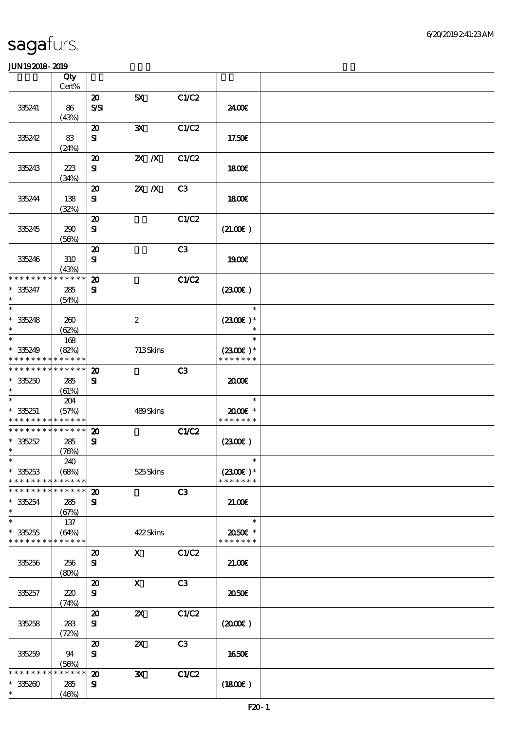|                                                        | Qty<br>Cert%               |                                           |                           |                |                             |  |
|--------------------------------------------------------|----------------------------|-------------------------------------------|---------------------------|----------------|-----------------------------|--|
|                                                        |                            | $\boldsymbol{\mathsf{20}}$                | 5X                        | C1/C2          |                             |  |
| 335241                                                 | 86<br>(43%)                | $S\mathcal{S}$                            |                           |                | 2400E                       |  |
|                                                        |                            | $\boldsymbol{\mathfrak{D}}$               | ${\bf x}$                 | C1/C2          |                             |  |
| 335242                                                 | 83<br>(24%)                | ${\bf s}$                                 |                           |                | 17.50€                      |  |
| 335243                                                 | 223<br>(34%)               | $\boldsymbol{\mathfrak{D}}$<br>${\bf s}$  | $X$ $N$                   | C1/C2          | 1800E                       |  |
| 335244                                                 | 138<br>(32%)               | $\boldsymbol{\mathfrak{D}}$<br>${\bf s}$  | $X$ $N$                   | C3             | 1800E                       |  |
| 335245                                                 | 290<br>(56%)               | $\boldsymbol{\mathfrak{D}}$<br>${\bf s}$  |                           | C1/C2          | (21.00)                     |  |
| 335246                                                 | 310<br>(43%)               | $\boldsymbol{\mathbf{z}}$<br>$\mathbf{S}$ |                           | C <sub>3</sub> | 1900E                       |  |
| * * * * * * * *                                        | * * * * * *                | $\boldsymbol{\mathbf{z}}$                 |                           | <b>C1/C2</b>   |                             |  |
| $* 35247$<br>$\ast$                                    | 285<br>(54%)               | ${\bf s}$                                 |                           |                | (230E)                      |  |
| $\ast$                                                 |                            |                                           |                           |                | $\ast$                      |  |
| $* 35248$<br>$\ast$                                    | 260<br>(62%)               |                                           | $\boldsymbol{2}$          |                | $(2300E)*$<br>$\ast$        |  |
| $\ast$                                                 | 168                        |                                           |                           |                | $\ast$                      |  |
| $* 335249$<br>* * * * * * * * * * * * * *              | (82%)                      |                                           | 713Skins                  |                | $(2300)$ *<br>* * * * * * * |  |
| * * * * * * * * <mark>* * * * * * *</mark>             |                            |                                           |                           |                |                             |  |
| $*35250$                                               | 285                        | $\boldsymbol{\mathbf{z}}$<br>${\bf s}$    |                           | C <sub>3</sub> | 2000€                       |  |
| $\ast$                                                 | (61%)                      |                                           |                           |                |                             |  |
| $\ast$                                                 | 204                        |                                           |                           |                | $\ast$                      |  |
| $* 335251$<br>* * * * * * * * <mark>* * * * * *</mark> | (57%)                      |                                           | 489Skins                  |                | 2000E*<br>* * * * * * *     |  |
| * * * * * * * * * * * * * *                            |                            | $\boldsymbol{\mathbf{z}}$                 |                           | <b>C1/C2</b>   |                             |  |
| $*35252$                                               | 285                        | ${\bf s}$                                 |                           |                | (2300)                      |  |
| $\ast$                                                 | (76%)                      |                                           |                           |                |                             |  |
| $\ast$                                                 | 240                        |                                           |                           |                | $\ast$                      |  |
| $* 335253$                                             | (68%)                      |                                           | 525Skins                  |                | $(2300)$ *                  |  |
| * * * * * * * *                                        | * * * * * *<br>* * * * * * |                                           |                           |                | * * * * * * *               |  |
| * * * * * * * *                                        |                            | $\boldsymbol{\mathbf{z}}$                 |                           | C3             |                             |  |
| $*35254$<br>$\ast$                                     | 285<br>(67%)               | ${\bf s}$                                 |                           |                | 21.00                       |  |
| $\ast$                                                 | 137                        |                                           |                           |                | $\ast$                      |  |
| $* 335255$<br>* * * * * * * * * * * * * *              | (64%)                      |                                           | 422Skins                  |                | 2050E *<br>* * * * * * *    |  |
|                                                        |                            | $\boldsymbol{\mathfrak{D}}$               | $\mathbf{x}$              | C1/C2          |                             |  |
| 335256                                                 | 256<br>(80%)               | ${\bf s}$                                 |                           |                | 21.00E                      |  |
|                                                        |                            | $\boldsymbol{\mathfrak{D}}$               | $\mathbf{X}$              | C <sub>3</sub> |                             |  |
| 335257                                                 | 220<br>(74%)               | ${\bf s}$                                 |                           |                | 2050E                       |  |
|                                                        |                            | $\boldsymbol{\mathfrak{D}}$               | $\boldsymbol{\mathsf{Z}}$ | C1/C2          |                             |  |
| 335258                                                 | 283<br>(72%)               | ${\bf s}$                                 |                           |                | $(2000\varepsilon)$         |  |
|                                                        |                            | $\boldsymbol{\mathfrak{D}}$               | $\boldsymbol{\mathsf{z}}$ | C3             |                             |  |
| 335259                                                 | 94                         | ${\bf s}$                                 |                           |                | <b>1650€</b>                |  |
|                                                        | (56%)                      |                                           |                           |                |                             |  |
| * * * * * * * *                                        | * * * * * *                | $\boldsymbol{\mathfrak{D}}$               | $\mathbf{x}$              | C1/C2          |                             |  |
| $* 335200$                                             | 285                        | ${\bf s}$                                 |                           |                | (1800)                      |  |
| $\ast$                                                 | (46%)                      |                                           |                           |                |                             |  |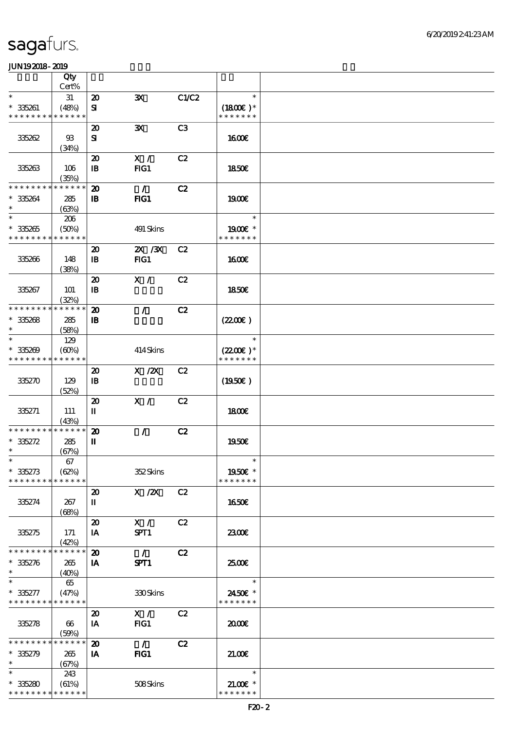|                               | Qty                  |                                             |               |                |                          |  |
|-------------------------------|----------------------|---------------------------------------------|---------------|----------------|--------------------------|--|
|                               | Cert%                |                                             |               |                |                          |  |
| $\ast$                        | 31                   | $\boldsymbol{\mathbf{z}}$                   | $\mathbf{x}$  | C1/C2          | $\ast$                   |  |
| $* 335261$                    | (48%)                | ${\bf s}$                                   |               |                | $(1800)$ *               |  |
| * * * * * * * *               | * * * * * *          |                                             |               |                | * * * * * * *            |  |
|                               |                      | $\boldsymbol{\mathfrak{D}}$                 | $\mathbf{x}$  | C <sub>3</sub> |                          |  |
| 335262                        | $\mathfrak{B}$       | ${\bf s}$                                   |               |                | 1600                     |  |
|                               | (34%)                |                                             |               |                |                          |  |
|                               |                      | $\boldsymbol{\mathfrak{D}}$                 | X /           | C2             |                          |  |
| 335263                        | 106                  | $\mathbf{I}$                                | FG1           |                | 1850E                    |  |
|                               | (35%)                |                                             |               |                |                          |  |
| * * * * * * * *               | * * * * * *          | $\boldsymbol{\mathfrak{D}}$                 | $\mathcal{L}$ | C2             |                          |  |
| $* 335264$                    | 285                  | $\mathbf{B}$                                | FIG1          |                | 1900E                    |  |
| $\ast$<br>$\ast$              | (63%)                |                                             |               |                | $\ast$                   |  |
|                               | 206                  |                                             |               |                |                          |  |
| $* 335265$<br>* * * * * * * * | (50%)<br>* * * * * * |                                             | 491 Skins     |                | 1900E *<br>* * * * * * * |  |
|                               |                      |                                             |               |                |                          |  |
|                               |                      | $\boldsymbol{\mathfrak{D}}$                 | 2X / 3X       | C2             |                          |  |
| 335266                        | 148                  | $\mathbf{B}$                                | FIG1          |                | 1600E                    |  |
|                               | (38%)                |                                             | X /           | C2             |                          |  |
| 335267                        | 101                  | $\boldsymbol{\mathfrak{D}}$<br>${\bf I\!B}$ |               |                | 1850E                    |  |
|                               |                      |                                             |               |                |                          |  |
| * * * * * * * *               | (32%)<br>* * * * * * | $\boldsymbol{\mathbf{z}}$                   | $\mathcal{L}$ | C2             |                          |  |
| $* 35268$                     | 285                  | $\mathbf{B}$                                |               |                | (220E)                   |  |
| $\ast$                        | (58%)                |                                             |               |                |                          |  |
| $\ast$                        | 129                  |                                             |               |                | $\ast$                   |  |
| $* 335209$                    | (60%)                |                                             | 414Skins      |                | $(2200)$ *               |  |
| * * * * * * * *               | * * * * * *          |                                             |               |                | * * * * * * *            |  |
|                               |                      | $\boldsymbol{\mathfrak{D}}$                 | $X$ / $ZX$    | C2             |                          |  |
| 335270                        | 129                  | $\mathbf{B}$                                |               |                | (1950)                   |  |
|                               | (52%)                |                                             |               |                |                          |  |
|                               |                      | $\boldsymbol{\mathfrak{D}}$                 | X /           | C2             |                          |  |
| 335271                        | 111                  | П                                           |               |                | 1800E                    |  |
|                               | (43%)                |                                             |               |                |                          |  |
| * * * * * * * *               | * * * * * *          | $\boldsymbol{\mathbf{z}}$                   | $\mathcal{L}$ | C2             |                          |  |
| $* 35272$                     | 285                  | $\mathbf I$                                 |               |                | 1950E                    |  |
| $\ast$                        | (67%)                |                                             |               |                |                          |  |
| $\ast$                        | $67\,$               |                                             |               |                | $\ast$                   |  |
| $* 35273$                     | (62%)                |                                             | 352Skins      |                | 1950€ *                  |  |
| * * * * * * * *               | * * * * * *          |                                             |               |                | * * * * * * *            |  |
|                               |                      | $\boldsymbol{\mathfrak{D}}$                 | X / ZX        | C2             |                          |  |
| 335274                        | 267                  | П                                           |               |                | 1650E                    |  |
|                               | (68%)                |                                             |               |                |                          |  |
|                               |                      | $\boldsymbol{\mathbf{z}}$                   | X /           | C2             |                          |  |
| 335275                        | 171                  | IA                                          | SPT1          |                | 2300                     |  |
| * * * * * * * *               | (42%)<br>* * * * * * | $\boldsymbol{\mathfrak{D}}$                 | $\mathcal{L}$ | C2             |                          |  |
| $* 35276$                     | 265                  |                                             | SPT1          |                | 2500E                    |  |
| $\ast$                        | (40%)                | IA                                          |               |                |                          |  |
|                               | 65                   |                                             |               |                | $\ast$                   |  |
| $* 35277$                     | (47%)                |                                             | 330Skins      |                | 2450€ *                  |  |
| * * * * * * * * * * * * * *   |                      |                                             |               |                | * * * * * * *            |  |
|                               |                      | $\boldsymbol{\mathfrak{D}}$                 | X /           | C2             |                          |  |
| 335278                        | 66                   | IA                                          | FIG1          |                | 2000                     |  |
|                               | (50%)                |                                             |               |                |                          |  |
| * * * * * * * *               | * * * * * *          | $\boldsymbol{\mathbf{z}}$                   | $\mathcal{L}$ | C2             |                          |  |
| $* 335279$                    | 265                  | IA                                          | FG1           |                | 21.00E                   |  |
| $\ast$                        | (67%)                |                                             |               |                |                          |  |
| $\ast$                        | 243                  |                                             |               |                | $\ast$                   |  |
| $* 35280$                     | (61%)                |                                             | 508Skins      |                | $21.005*$                |  |
| * * * * * * * *               | * * * * * *          |                                             |               |                | * * * * * * *            |  |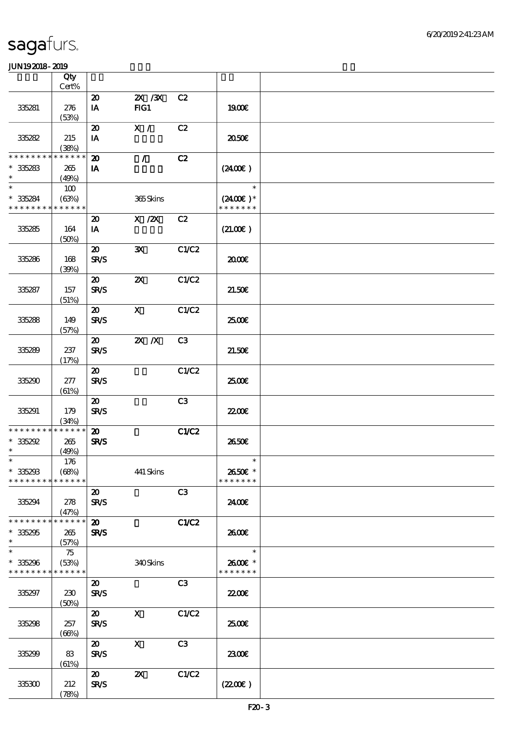|                                            | Qty<br>Cert% |                                            |                           |                |                             |  |
|--------------------------------------------|--------------|--------------------------------------------|---------------------------|----------------|-----------------------------|--|
|                                            |              | $\boldsymbol{\mathsf{20}}$                 | $X \, X$                  | C2             |                             |  |
| 335281                                     | 276<br>(53%) | IA                                         | FG1                       |                | 1900E                       |  |
|                                            |              | $\boldsymbol{\mathfrak{D}}$                | X /                       | C2             |                             |  |
| 35282                                      | 215<br>(38%) | $I\!\!A$                                   |                           |                | 2050€                       |  |
| * * * * * * * *                            | * * * * * *  |                                            |                           |                |                             |  |
|                                            |              | $\boldsymbol{\mathbf{z}}$                  | $\mathcal{L}$             | C2             |                             |  |
| $*35283$<br>$\ast$                         | 265<br>(49%) | IA                                         |                           |                | (240E)                      |  |
| $\ast$                                     | 100          |                                            |                           |                | $\ast$                      |  |
| $* 35284$<br>* * * * * * * * * * * * * *   | (63%)        |                                            | 365Skins                  |                | $(2400)$ *<br>* * * * * * * |  |
|                                            |              | $\boldsymbol{\mathfrak{D}}$                | $X$ / $ZX$                | C2             |                             |  |
| 335285                                     | 164<br>(50%) | IA                                         |                           |                | (21.00)                     |  |
|                                            |              | $\boldsymbol{\mathfrak{D}}$                | $\mathbf{x}$              | C1/C2          |                             |  |
| 335286                                     | 168          | <b>SR/S</b>                                |                           |                | 2000                        |  |
|                                            | (30%)        |                                            |                           |                |                             |  |
| 335287                                     | 157          | $\boldsymbol{\mathfrak{D}}$<br><b>SR/S</b> | $\boldsymbol{\mathsf{z}}$ | C1/C2          | 21.50E                      |  |
|                                            | (51%)        |                                            |                           | C1/C2          |                             |  |
|                                            |              | $\boldsymbol{\mathfrak{D}}$                | $\mathbf{x}$              |                | 2500€                       |  |
| 335288                                     | 149<br>(57%) | <b>SR/S</b>                                |                           |                |                             |  |
|                                            |              | $\boldsymbol{\mathfrak{D}}$                | $Z\!X$ $\,$ $X$           | C3             |                             |  |
| 335289                                     | 237          | <b>SR/S</b>                                |                           |                | 21.50E                      |  |
|                                            | (17%)        |                                            |                           |                |                             |  |
|                                            |              | $\boldsymbol{\mathfrak{D}}$                |                           | C1/C2          |                             |  |
| 335290                                     | 277          | <b>SR/S</b>                                |                           |                | 2500E                       |  |
|                                            | (61%)        |                                            |                           |                |                             |  |
|                                            |              | $\boldsymbol{\mathfrak{D}}$                |                           | C3             |                             |  |
| 335291                                     | 179          | <b>SR/S</b>                                |                           |                | <b>2200</b> €               |  |
|                                            | (34%)        |                                            |                           |                |                             |  |
| * * * * * * * * <mark>* * * * * * *</mark> |              | $\boldsymbol{\mathfrak{D}}$                |                           | C1/C2          |                             |  |
| $*35292$                                   | 265          | <b>SR/S</b>                                |                           |                | 2650E                       |  |
| $\ast$                                     | (49%)        |                                            |                           |                |                             |  |
| $\ast$                                     | 176          |                                            |                           |                | $\ast$                      |  |
| $*35293$                                   | (68%)        |                                            | 441 Skins                 |                | 2650E *                     |  |
| * * * * * * * *                            | * * * * * *  |                                            |                           |                | * * * * * * *               |  |
|                                            |              | $\boldsymbol{\mathfrak{D}}$                |                           | C3             |                             |  |
| 335294                                     | 278<br>(47%) | <b>SR/S</b>                                |                           |                | 2400E                       |  |
| * * * * * * * *                            | * * * * * *  | $\boldsymbol{\mathfrak{D}}$                |                           | C1/C2          |                             |  |
| $* 35295$                                  | 265          | <b>SR/S</b>                                |                           |                | 2600E                       |  |
| $\ast$                                     | (57%)        |                                            |                           |                |                             |  |
| $\ast$                                     | 75           |                                            |                           |                | $\ast$                      |  |
| $*35296$                                   | (53%)        |                                            | 340Skins                  |                | 2600€ *                     |  |
| * * * * * * * * * * * * * *                |              |                                            |                           |                | * * * * * * *               |  |
|                                            |              | $\boldsymbol{\mathfrak{D}}$                |                           | C3             |                             |  |
| 335297                                     | 230          | <b>SR/S</b>                                |                           |                | <b>22006</b>                |  |
|                                            | (50%)        |                                            | $\mathbf x$               |                |                             |  |
| 335298                                     | 257          | $\boldsymbol{\mathfrak{D}}$<br><b>SR/S</b> |                           | C1/C2          | 2500E                       |  |
|                                            | (66%)        |                                            |                           |                |                             |  |
|                                            |              | $\boldsymbol{\mathfrak{D}}$                | $\boldsymbol{\mathsf{X}}$ | C <sub>3</sub> |                             |  |
| 335299                                     | 83           | <b>SR/S</b>                                |                           |                | 2300E                       |  |
|                                            | (61%)        |                                            |                           |                |                             |  |
|                                            |              | $\boldsymbol{\mathfrak{D}}$                | $\boldsymbol{\mathsf{Z}}$ | C1/C2          |                             |  |
| 335300                                     | 212          | <b>SR/S</b>                                |                           |                | (220E)                      |  |
|                                            | (78%)        |                                            |                           |                |                             |  |
|                                            |              |                                            |                           |                |                             |  |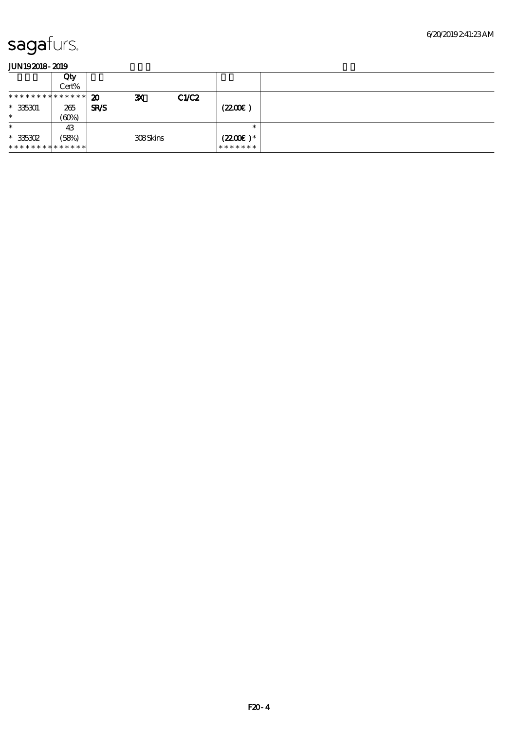|                               | Qty<br>Cert% |                                           |      |                       |  |
|-------------------------------|--------------|-------------------------------------------|------|-----------------------|--|
| * * * * * * * * * * * * * * * |              | $\boldsymbol{\mathbf{z}}$<br>$\mathbf{x}$ | CLC2 |                       |  |
| $* 35301$                     | 265          | <b>SR/S</b>                               |      | (2200)                |  |
| $\ast$                        | (60%)        |                                           |      |                       |  |
| $\ast$                        | 43           |                                           |      | $\ast$                |  |
| $*35302$                      | (58%)        | 308Skins                                  |      | $(2200\varepsilon)^*$ |  |
| **************                |              |                                           |      | *******               |  |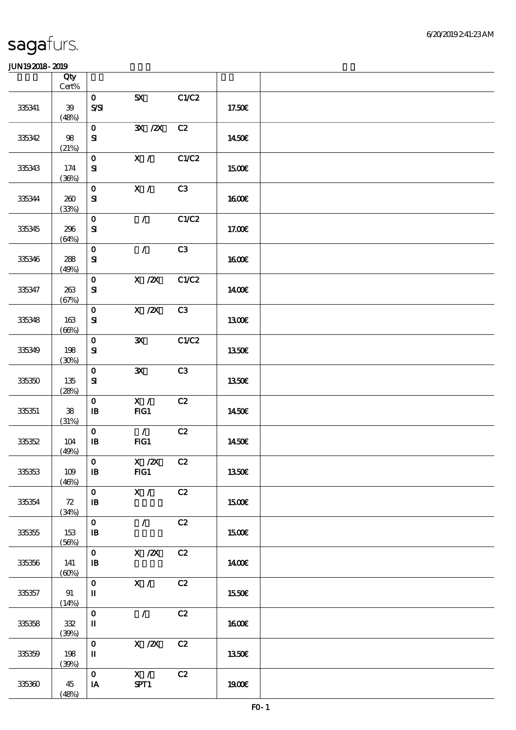|        | Qty<br>$Cert\%$     |                                            |                                                   |       |              |  |
|--------|---------------------|--------------------------------------------|---------------------------------------------------|-------|--------------|--|
| 335341 | 39<br>(48%)         | $\mathbf{O}$<br>$S\!S\!I$                  | 5X                                                | C1/C2 | 17.50€       |  |
| 335342 | $98\,$<br>(21%)     | $\mathbf{O}$<br>${\bf s}$                  | $\overline{\mathbf{X}}$ / $\overline{\mathbf{X}}$ | C2    | 1450€        |  |
| 335343 | 174<br>(36%)        | $\mathbf{O}$<br>${\bf s}$                  | X /                                               | C1/C2 | <b>1500€</b> |  |
| 335344 | 200<br>(33%)        | $\mathbf{O}$<br>$\mathbf{S}$               | X /                                               | C3    | <b>1600€</b> |  |
| 335345 | 296<br>(64%)        | $\mathbf{o}$<br>${\bf s}$                  | $\mathcal{L}$                                     | C1/C2 | 17.00€       |  |
| 335346 | 288<br>(49%)        | $\mathbf{o}$<br>${\bf S\!I}$               | $\mathcal{L}$                                     | C3    | 1600E        |  |
| 335347 | 263<br>(67%)        | $\mathbf{o}$<br>${\bf s}$                  | $X$ / $ZX$                                        | C1/C2 | <b>140€</b>  |  |
| 335348 | 163<br>(66%)        | $\mathbf{o}$<br>${\bf S}$                  | $X \, /ZX$                                        | C3    | 1300E        |  |
| 335349 | 198<br>(30%)        | $\mathbf{o}$<br>${\bf s}$                  | $\mathbf{x}$                                      | C1/C2 | <b>1350€</b> |  |
| 335350 | 135<br>(28%)        | $\mathbf{o}$<br>${\bf s}$                  | $\mathbf{x}$                                      | C3    | 1350€        |  |
| 335351 | ${\bf 38}$<br>(31%) | $\mathbf{O}$<br>$\mathbf{B}$               | X /<br>FG1                                        | C2    | 1450€        |  |
| 335352 | 104<br>(49%)        | $\mathbf{O}$<br>$\, {\bf I} \! {\bf B} \,$ | $\mathcal{L}$<br>FG1                              | C2    | 1450€        |  |
| 335353 | 109<br>(46%)        | $\mathbf{O}$<br>$\, {\bf I} \! {\bf B} \,$ | X / ZX C2<br>FG1                                  |       | 1350€        |  |
| 335354 | 72<br>(34%)         | $\mathbf{O}$<br>$\mathbf{B}$               | X /                                               | C2    | <b>1500€</b> |  |
| 335355 | 153<br>(56%)        | $\mathbf O$<br>$\mathbf{B}$                | $\mathcal{F}$                                     | C2    | 1500€        |  |
| 335356 | 141<br>(60%)        | $\mathbf{o}$<br>$\mathbf{B}$               | $X$ / $ZX$                                        | C2    | 1400€        |  |
| 335357 | 91<br>(14%)         | $\mathbf{o}$<br>П                          | X /                                               | C2    | 1550€        |  |
| 335358 | $32\,$<br>(30%)     | $\mathbf O$<br>$\mathbf I$                 | $\mathcal{L}$                                     | C2    | <b>1600€</b> |  |
| 335359 | 198<br>(30%)        | $\mathbf{o}$<br>$\mathbf I$                | X / ZX                                            | C2    | 1350E        |  |
| 335360 | 45<br>(48%)         | $\mathbf{o}$<br>IA                         | X /<br>SPT1                                       | C2    | <b>190€</b>  |  |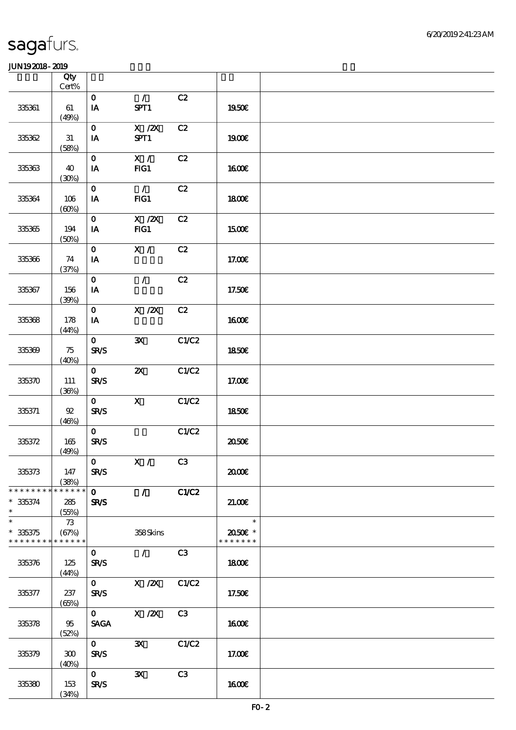|                                                     | Qty<br>$Cert\%$             |                               |                                         |       |                                                     |  |
|-----------------------------------------------------|-----------------------------|-------------------------------|-----------------------------------------|-------|-----------------------------------------------------|--|
| 335361                                              | 61<br>(49%)                 | $\mathbf{O}$<br>$\mathbf{IA}$ | $\mathcal{T}^{\mathbb{Z}}$<br>SPT1      | C2    | 1950€                                               |  |
| 335362                                              | 31<br>(58%)                 | $\mathbf{O}$<br>IA            | $X$ / $ZX$<br>SPT1                      | C2    | <b>1900€</b>                                        |  |
| 335363                                              | 40<br>(30%)                 | $\mathbf{O}$<br>IA            | X /<br>$FIG1$                           | C2    | 1600E                                               |  |
| 335364                                              | 106<br>(60%)                | $\mathbf{O}$<br>IA            | $\mathcal{L}$<br>FG1                    | C2    | <b>1800€</b>                                        |  |
| 335365                                              | 194<br>(50%)                | $\mathbf{O}$<br>IA            | $\overline{X}$ / $\overline{Z}X$<br>FG1 | C2    | <b>1500€</b>                                        |  |
| 335366                                              | 74<br>(37%)                 | $\mathbf{O}$<br>IA            | X /                                     | C2    | 17.00E                                              |  |
| 335367                                              | 156<br>(30%)                | $\mathbf{o}$<br>IA            | $\mathcal{L}$                           | C2    | 17.50€                                              |  |
| 335368                                              | 178<br>(44%)                | $\mathbf{O}$<br>IA            | $\overline{X}$ /2X                      | C2    | 1600E                                               |  |
| 335369                                              | 75<br>(40%)                 | $\mathbf{O}$<br><b>SR/S</b>   | $\mathbf{x}$                            | C1/C2 | 1850€                                               |  |
| 335370                                              | 111<br>(36%)                | $\mathbf{o}$<br>SR/S          | $\boldsymbol{\mathsf{Z}}$               | C1/C2 | $17.00E$                                            |  |
| 335371                                              | $92\,$<br>(46%)             | $\mathbf{O}$<br><b>SR/S</b>   | $\mathbf{X}$                            | C1/C2 | 1850E                                               |  |
| 335372                                              | 165<br>(49%)                | $\mathbf{O}$<br>SR/S          |                                         | C1/C2 | ææ                                                  |  |
| 335373                                              | 147<br>(38%)                | $\mathbf{O}$<br><b>SR/S</b>   | X /                                     | C3    | æœ                                                  |  |
| * * * * * * * *<br>$* 335374$<br>$\ast$             | * * * * * *<br>285<br>(55%) | $\mathbf{O}$<br><b>SR/S</b>   | $\mathcal{L}$                           | C1/C2 | 21.00                                               |  |
| $\ast$<br>$* 335375$<br>* * * * * * * * * * * * * * | 73<br>(67%)                 |                               | 358Skins                                |       | $\overline{\mathbf{r}}$<br>2050E *<br>* * * * * * * |  |
| 335376                                              | 125<br>(44%)                | $\mathbf{O}$<br><b>SR/S</b>   | $\mathcal{L}$                           | C3    | 1800E                                               |  |
| 335377                                              | 237<br>(65%)                | $\mathbf{O}$<br><b>SR/S</b>   | $X / ZX$ $C1/C2$                        |       | 17.50€                                              |  |
| 335378                                              | 95<br>(52%)                 | $\mathbf{O}$<br><b>SAGA</b>   | X / ZX                                  | C3    | 1600                                                |  |
| 335379                                              | 300<br>(40%)                | $\mathbf{O}$<br><b>SR/S</b>   | $\mathbf{x}$                            | C1/C2 | 17.00E                                              |  |
| 335380                                              | 153<br>(34%)                | $\mathbf{O}$<br><b>SR/S</b>   | $\mathbf{x}$                            | C3    | 1600E                                               |  |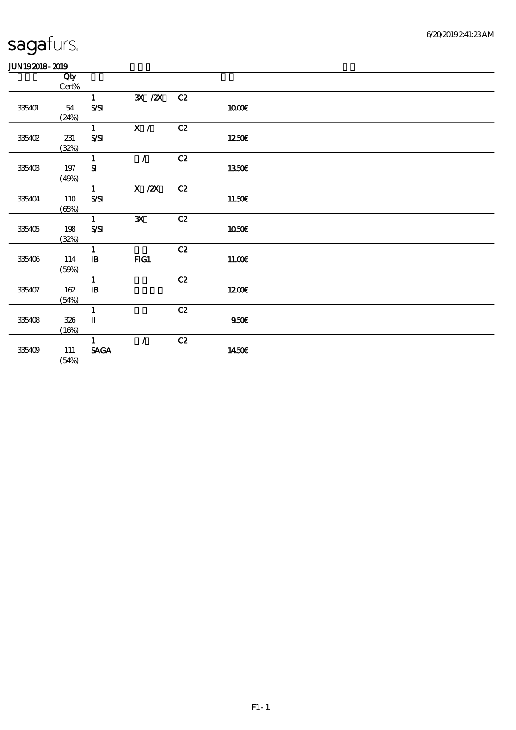|        | Qty        |                                |                                                     |    |              |  |
|--------|------------|--------------------------------|-----------------------------------------------------|----|--------------|--|
|        |            |                                |                                                     |    |              |  |
|        | $Cert\%$   |                                |                                                     |    |              |  |
|        |            | $\mathbf{1}$                   | $\overline{\mathbf{X}}$ / $\overline{\mathbf{X}}$   | C2 |              |  |
| 335401 | 54         | $S\!S\!I$                      |                                                     |    | 1000E        |  |
|        | (24%)      |                                |                                                     |    |              |  |
|        |            | $\mathbf{1}$                   | X /                                                 | C2 |              |  |
| 335402 | 231        | $S\!S\!I$                      |                                                     |    | 1250E        |  |
|        |            |                                |                                                     |    |              |  |
|        | (32%)      |                                |                                                     |    |              |  |
|        |            | $\mathbf{1}$                   | $\mathcal{L}$                                       | C2 |              |  |
| 335403 | $197\,$    | ${\bf S}$                      |                                                     |    | 1350€        |  |
|        | (49%)      |                                |                                                     |    |              |  |
|        |            | $\mathbf{1}$                   | $\boldsymbol{X}$ / $\boldsymbol{Z}\!\boldsymbol{X}$ | C2 |              |  |
| 335404 | <b>110</b> | $S\!S\!I$                      |                                                     |    | 11.50E       |  |
|        | (65%)      |                                |                                                     |    |              |  |
|        |            | $\mathbf{1}$                   | $\mathbf{x}$                                        | C2 |              |  |
| 335405 | 198        | $S\!S\!I$                      |                                                     |    | <b>1050€</b> |  |
|        |            |                                |                                                     |    |              |  |
|        | (32%)      |                                |                                                     |    |              |  |
|        |            | $\mathbf{1}$                   |                                                     | C2 |              |  |
| 335406 | $114\,$    | $\, {\bf I} \! {\bf B} \,$     | FG1                                                 |    | 11.00E       |  |
|        | (50%)      |                                |                                                     |    |              |  |
|        |            | $\mathbf{1}$                   |                                                     | C2 |              |  |
| 335407 | 162        | ${\bf I\!B}$                   |                                                     |    | 1200         |  |
|        | (54%)      |                                |                                                     |    |              |  |
|        |            | $\mathbf{1}$                   |                                                     | C2 |              |  |
|        |            | $\mathbf I$                    |                                                     |    |              |  |
| 335408 | 326        |                                |                                                     |    | 950E         |  |
|        | (16%)      |                                |                                                     |    |              |  |
|        |            | $\mathbf{1}$                   | $\mathcal{L}$                                       | C2 |              |  |
| 335409 | 111        | $\operatorname{\mathsf{SAGA}}$ |                                                     |    | 1450€        |  |
|        | (54%)      |                                |                                                     |    |              |  |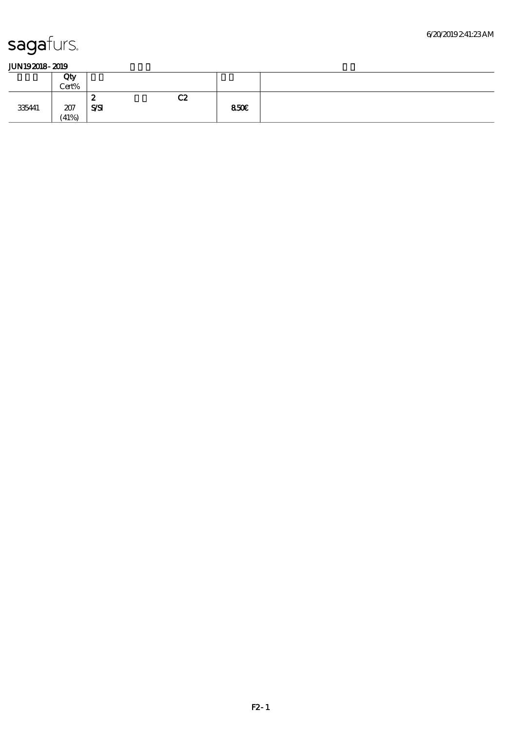| -------------- |       |            |    |      |  |
|----------------|-------|------------|----|------|--|
|                | Qty   |            |    |      |  |
|                | Cert% |            |    |      |  |
|                |       | - 0<br>∼   | C2 |      |  |
| 335441         | 207   | <b>SSI</b> |    | 850E |  |
|                | (41%) |            |    |      |  |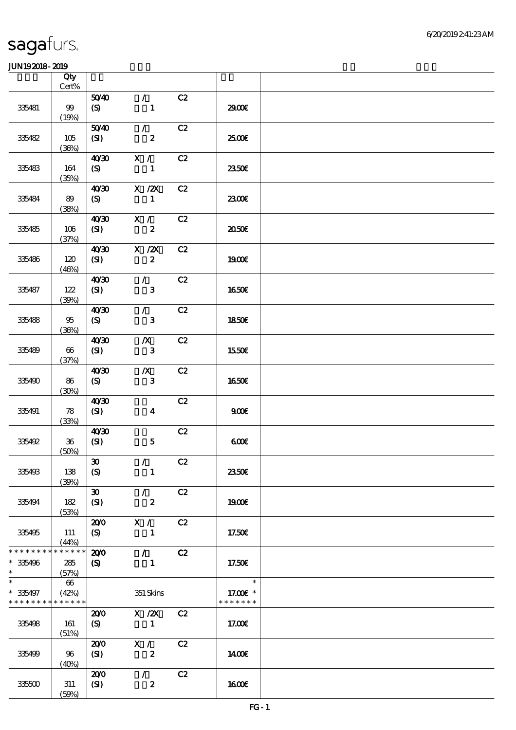|                                                                 | Qty<br>Cert%    |                                     |                                   |    |                                     |  |
|-----------------------------------------------------------------|-----------------|-------------------------------------|-----------------------------------|----|-------------------------------------|--|
|                                                                 |                 | 5040                                | $\mathcal{T}$                     | C2 |                                     |  |
| 335481                                                          | $99$<br>(19%)   | (S)                                 | $\mathbf{1}$                      |    | 2900€                               |  |
| 335482                                                          | 105<br>(36%)    | 5040<br>(SI)                        | $\mathcal{L}$<br>$\boldsymbol{z}$ | C2 | 2500€                               |  |
| 335483                                                          | 164<br>(35%)    | 40'30<br>(S)                        | X /<br>$\mathbf{1}$               | C2 | 2350E                               |  |
| 335484                                                          | 89<br>(38%)     | 4030<br>(S)                         | $X$ / $ZX$<br>$\mathbf{1}$        | C2 | 2300E                               |  |
| 335485                                                          | 106<br>(37%)    | 40/30<br>(SI)                       | X /<br>$\boldsymbol{z}$           | C2 | 2050E                               |  |
| 335486                                                          | 120<br>(46%)    | 40'30<br>(SI)                       | $X$ / $ZX$<br>$\boldsymbol{z}$    | C2 | 1900E                               |  |
| 335487                                                          | $122$<br>(30%)  | 40'30<br>(SI)                       | $\mathcal{L}$<br>$\mathbf{3}$     | C2 | <b>1650€</b>                        |  |
| 335488                                                          | $95\,$<br>(36%) | 40'30<br>(S)                        | $\mathcal{T}$<br>$\mathbf{3}$     | C2 | 1850E                               |  |
| 335489                                                          | 66<br>(37%)     | 40 <sup>30</sup><br>(SI)            | $\boldsymbol{X}$<br>$\mathbf{3}$  | C2 | 1550€                               |  |
| 335490                                                          | 86<br>(30%)     | 40'30<br>(S)                        | $\boldsymbol{X}$<br>$\mathbf{3}$  | C2 | <b>1650€</b>                        |  |
| 335491                                                          | 78<br>(33%)     | 40'30<br>(SI)                       | $\boldsymbol{4}$                  | C2 | 900E                                |  |
| 335492                                                          | $36\,$<br>(50%) | 40 <sup>20</sup><br>(SI)            | $\mathbf{5}$                      | C2 | 600                                 |  |
| 335493                                                          | 138<br>(30%)    | $\boldsymbol{\mathfrak{D}}$<br>(S)  | $\mathcal{L}$<br>$\mathbf{1}$     | C2 | 2350E                               |  |
| 335494                                                          | 182<br>(53%)    | $\boldsymbol{\mathfrak{D}}$<br>(SI) | $\mathcal{T}$<br>$\boldsymbol{z}$ | C2 | 1900E                               |  |
| 335495                                                          | 111<br>(44%)    | 200<br>(S)                          | X /<br>$\mathbf{1}$               | C2 | 17.50E                              |  |
| * * * * * * * * * * * * * *<br>$* 335496$<br>$\ast$             | 285<br>(57%)    | 200<br>(S)                          | $\mathcal{L}$<br>$\blacksquare$   | C2 | 17.50€                              |  |
| $\ast$<br>$*335497$<br>* * * * * * * * <mark>* * * * * *</mark> | $66\,$<br>(42%) |                                     | 351 Skins                         |    | $\ast$<br>17.00€ *<br>* * * * * * * |  |
| 335498                                                          | 161<br>(51%)    | 200<br>(S)                          | $X$ / $ZX$<br>$\blacksquare$      | C2 | 17.00E                              |  |
| 335499                                                          | 96<br>(40%)     | 200<br>(SI)                         | X /<br>$\boldsymbol{z}$           | C2 | 1400E                               |  |
| 335500                                                          | 311<br>(50%)    | 200<br>(SI)                         | $\mathcal{L}$<br>$\boldsymbol{z}$ | C2 | 1600E                               |  |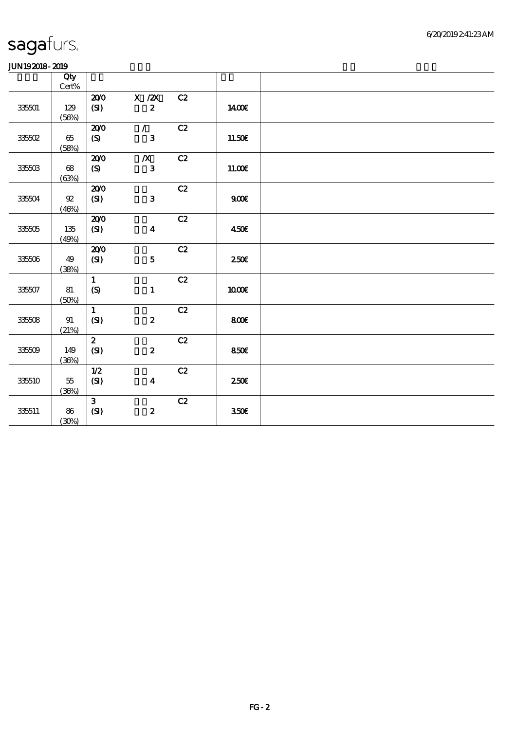|                  | Qty             |              |                  |               |             |  |
|------------------|-----------------|--------------|------------------|---------------|-------------|--|
|                  | $Cert\%$        |              |                  |               |             |  |
|                  |                 | 200          | X / ZX           | C2            |             |  |
| $3350\mathrm{l}$ | 129             | $\mathbf{C}$ | $\boldsymbol{2}$ |               | 1400€       |  |
|                  | (56%)           |              |                  |               |             |  |
|                  |                 | 200          | $\mathcal{L}$    | C2            |             |  |
| $33550\!\ell$    | $65\,$          | (S)          | $\mathbf{3}$     |               | 11.50€      |  |
|                  | (58%)           | 200          | $\boldsymbol{X}$ | C2            |             |  |
| 335503           | $68\,$          | (S)          | $\mathbf{3}$     |               | 11.00E      |  |
|                  | (63%)           |              |                  |               |             |  |
|                  |                 | 200          |                  | $\mathbf{C2}$ |             |  |
| 335504           | ${\mathfrak A}$ | $\mathbf{C}$ | $\mathbf{3}$     |               | 900E        |  |
|                  | (46%)           |              |                  |               |             |  |
|                  |                 | 200          |                  | C2            |             |  |
| 335505           | 135             | (SI)         | $\boldsymbol{4}$ |               | 450E        |  |
|                  | (49%)           |              |                  |               |             |  |
|                  |                 | 200          |                  | C2            |             |  |
| $33506\,$        | 49              | (SI)         | $\mathbf 5$      |               | 250E        |  |
|                  | (38%)           |              |                  |               |             |  |
|                  |                 | $\mathbf{1}$ |                  | $\mathbf{C2}$ |             |  |
| 335507           | 81              | (S)          | $\mathbf{1}$     |               | <b>100€</b> |  |
|                  | (50%)           |              |                  |               |             |  |
|                  |                 | $\mathbf{1}$ |                  | C2            |             |  |
| 335508           | 91              | (SI)         | $\boldsymbol{z}$ |               | 800E        |  |
|                  | (21%)           |              |                  |               |             |  |
|                  |                 | $\mathbf{z}$ |                  | C2            |             |  |
| 335509           | 149             | (SI)         | $\boldsymbol{z}$ |               | 850E        |  |
|                  | (36%)           | 1/2          |                  | C2            |             |  |
| 335510           | $55\,$          | (SI)         | $\boldsymbol{4}$ |               | 250E        |  |
|                  | (36%)           |              |                  |               |             |  |
|                  |                 | $\mathbf{3}$ |                  | C2            |             |  |
| 335511           | 86              | (SI)         | $\pmb{2}$        |               | 350E        |  |
|                  | (30%)           |              |                  |               |             |  |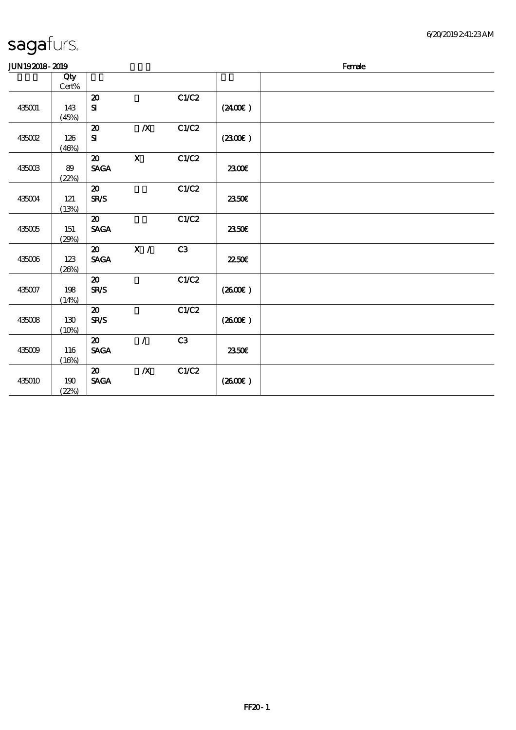#### 6/20/2019 2:41:23 AM

### sagafurs. 顺序号 Qty

| <b>JUN192018-2019</b> |              |                                                               |                  |       |                     | Female |
|-----------------------|--------------|---------------------------------------------------------------|------------------|-------|---------------------|--------|
|                       | Qty<br>Cert% |                                                               |                  |       |                     |        |
| 435001                | 143<br>(45%) | $\boldsymbol{\mathbf{z}}$<br>$\mathbf{S}$                     |                  | C1/C2 | (2400)              |        |
| 435002                | 126<br>(46%) | $\boldsymbol{\mathfrak{D}}$<br>${\bf S}$                      | $\boldsymbol{X}$ | C1/C2 | (2300)              |        |
| 435003                | 89<br>(22%)  | $\boldsymbol{\mathfrak{D}}$<br><b>SAGA</b>                    | $\mathbf x$      | C1/C2 | 2300€               |        |
| 435004                | 121<br>(13%) | $\boldsymbol{\mathcal{X}}$<br><b>SR/S</b>                     |                  | C1/C2 | <b>2350€</b>        |        |
| 435005                | 151<br>(29%) | $\boldsymbol{\mathfrak{D}}$<br><b>SAGA</b>                    |                  | C1/C2 | 2350E               |        |
| 435006                | 123<br>(20%) | $\boldsymbol{\mathfrak{D}}$<br><b>SAGA</b>                    | X /              | C3    | <b>2250€</b>        |        |
| 435007                | 198<br>(14%) | $\boldsymbol{\mathfrak{D}}$<br><b>SR/S</b>                    |                  | C1/C2 | (2600E)             |        |
| 435008                | 130<br>(10%) | $\boldsymbol{\mathfrak{D}}$<br><b>SR/S</b>                    |                  | C1/C2 | $(2600\varepsilon)$ |        |
| 435009                | 116<br>(16%) | $\boldsymbol{\mathfrak{D}}$<br>$\operatorname{\mathsf{SAGA}}$ | $\mathcal{L}$    | C3    | 2350€               |        |
| 435010                | 190<br>(22%) | $\boldsymbol{\mathfrak{D}}$<br><b>SAGA</b>                    | $\boldsymbol{X}$ | C1/C2 | (2600)              |        |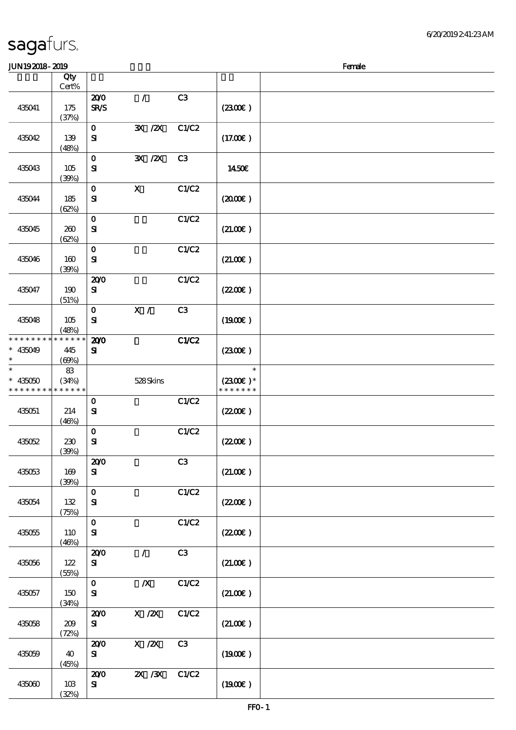#### $J/N192018$ - 2019  $R$

|                                                        | Qty<br>Cert% |              |                                                     |                |                             |  |
|--------------------------------------------------------|--------------|--------------|-----------------------------------------------------|----------------|-----------------------------|--|
|                                                        |              | 200          | $\mathcal{L}$                                       | C3             |                             |  |
| 435041                                                 | 175          | SR/S         |                                                     |                | (230E)                      |  |
|                                                        | (37%)        |              |                                                     |                |                             |  |
|                                                        |              | $\mathbf 0$  | $\mathbf{X}$ / $\mathbf{X}$                         | C1/C2          |                             |  |
| 435042                                                 | 139          | ${\bf s}$    |                                                     |                | (17.00)                     |  |
|                                                        | (48%)        |              |                                                     |                |                             |  |
|                                                        |              | $\mathbf 0$  | $\mathbf{X}$ / $\mathbf{X}$                         | C3             |                             |  |
| 435043                                                 | 105          | ${\bf S}$    |                                                     |                | 1450€                       |  |
|                                                        | (30%)        |              |                                                     |                |                             |  |
|                                                        |              | $\mathbf O$  | $\mathbf X$                                         | C1/C2          |                             |  |
| 435044                                                 | 185          | ${\bf s}$    |                                                     |                | (200E)                      |  |
|                                                        | (62%)        |              |                                                     |                |                             |  |
|                                                        |              | $\mathbf 0$  |                                                     | C1/C2          |                             |  |
| 435045                                                 | 260          | ${\bf S}$    |                                                     |                | (21.00)                     |  |
|                                                        | (62%)        | $\mathbf{o}$ |                                                     | C1/C2          |                             |  |
| 435046                                                 | 160          | $\mathbf{S}$ |                                                     |                | (21.00)                     |  |
|                                                        | (30%)        |              |                                                     |                |                             |  |
|                                                        |              | 200          |                                                     | C1/C2          |                             |  |
| 435047                                                 | 190          | ${\bf s}$    |                                                     |                | (220E)                      |  |
|                                                        | (51%)        |              |                                                     |                |                             |  |
|                                                        |              | $\mathbf{o}$ | $\boldsymbol{\mathrm{X}}$ /                         | C <sub>3</sub> |                             |  |
| 435048                                                 | 105          | ${\bf s}$    |                                                     |                | (1900E)                     |  |
|                                                        | (48%)        |              |                                                     |                |                             |  |
| * * * * * * * *                                        | * * * * * *  | 200          |                                                     | C1/C2          |                             |  |
| $* 435049$                                             | 445          | ${\bf s}$    |                                                     |                | (230E)                      |  |
| $\ast$<br>$\ast$                                       | (69%)        |              |                                                     |                |                             |  |
|                                                        | 83           |              |                                                     |                | $\ast$                      |  |
| $* 435050$<br>* * * * * * * * <mark>* * * * * *</mark> | (34%)        |              | 528Skins                                            |                | $(2300)$ *<br>* * * * * * * |  |
|                                                        |              | $\mathbf{o}$ |                                                     | C1/C2          |                             |  |
| 435051                                                 | 214          | ${\bf S}$    |                                                     |                | (220E)                      |  |
|                                                        | (46%)        |              |                                                     |                |                             |  |
|                                                        |              | $\mathbf O$  |                                                     | C1/C2          |                             |  |
| 435052                                                 | 230          | $\mathbf{S}$ |                                                     |                | (220E)                      |  |
|                                                        | (30%)        |              |                                                     |                |                             |  |
|                                                        |              | 200          |                                                     | C3             |                             |  |
| 435053                                                 | 169          | ${\bf s}$    |                                                     |                | (21.00)                     |  |
|                                                        | (30%)        |              |                                                     |                |                             |  |
|                                                        |              | $\mathbf 0$  |                                                     | C1/C2          |                             |  |
| 435054                                                 | 132          | $\mathbf{S}$ |                                                     |                | (220E)                      |  |
|                                                        | (75%)        | $\mathbf O$  |                                                     | C1/C2          |                             |  |
| 435055                                                 | <b>110</b>   | $\mathbf{S}$ |                                                     |                | (220E)                      |  |
|                                                        | (46%)        |              |                                                     |                |                             |  |
|                                                        |              | 200          | $\mathcal{L}$                                       | C3             |                             |  |
| 435056                                                 | 122          | ${\bf s}$    |                                                     |                | (21.00)                     |  |
|                                                        | (55%)        |              |                                                     |                |                             |  |
|                                                        |              | $\mathbf O$  | $\boldsymbol{X}$                                    | C1/C2          |                             |  |
| 435057                                                 | 150          | ${\bf S}$    |                                                     |                | (21.00)                     |  |
|                                                        | (34%)        |              |                                                     |                |                             |  |
|                                                        |              | 200          | $\boldsymbol{\mathrm{X}}$ / <b>2X</b>               | C1/C2          |                             |  |
| 435058                                                 | 209          | ${\bf s}$    |                                                     |                | (21.00)                     |  |
|                                                        | (72%)        | 200          | $\boldsymbol{X}$ / $\boldsymbol{Z}\!\boldsymbol{X}$ | C3             |                             |  |
| 435059                                                 | 40           | ${\bf s}$    |                                                     |                | (1900E)                     |  |
|                                                        | (45%)        |              |                                                     |                |                             |  |
|                                                        |              | 200          | $\chi$ / $\chi$                                     | C1/C2          |                             |  |
| 435060                                                 | 10B          | $\mathbf{S}$ |                                                     |                | (1900)                      |  |
|                                                        | (32%)        |              |                                                     |                |                             |  |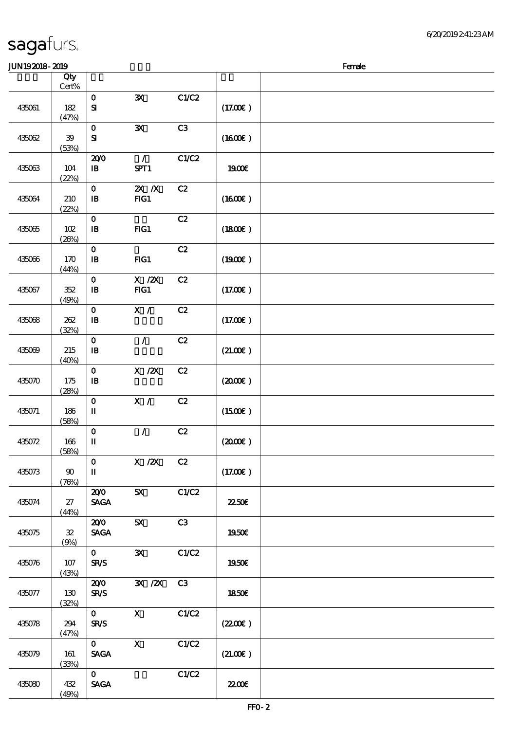#### 6/20/2019 2:41:23 AM

| <b>JUN192018-2019</b> |                     |                                            |                       |       |               | Female |
|-----------------------|---------------------|--------------------------------------------|-----------------------|-------|---------------|--------|
|                       | Qty<br>$Cert\%$     |                                            |                       |       |               |        |
| 435061                | 182<br>(47%)        | $\mathbf O$<br>$\mathbf{S}$                | $\mathbf{x}$          | C1/C2 | (17.00)       |        |
| 435062                | 39<br>(53%)         | $\mathbf 0$<br>${\bf s}$                   | ${\bf x}$             | C3    | (1600E)       |        |
| 435063                | 104<br>(22%)        | 200<br>$\mathbf{B}$                        | $\mathcal{L}$<br>SPT1 | C1/C2 | 1900E         |        |
| 435064                | 210<br>(22%)        | $\mathbf{o}$<br>$\, {\bf I} \! {\bf B} \,$ | $X$ $N$<br>FG1        | C2    | (1600)        |        |
| 435065                | 102<br>(20%)        | $\mathbf 0$<br>$\mathbf{B}$                | $HG1$                 | C2    | (1800)        |        |
| 435066                | 170<br>(44%)        | $\mathbf{o}$<br>$\, {\bf I} \! {\bf B} \,$ | FG1                   | C2    | (1900E)       |        |
| 435067                | 352<br>(49%)        | $\mathbf 0$<br>$\, {\bf I} \! {\bf B} \,$  | $X$ / $ZX$<br>FG1     | C2    | (17.00)       |        |
| 435068                | 262<br>(32%)        | $\mathbf 0$<br>$\mathbf{B}$                | X /                   | C2    | (17.00)       |        |
| 435069                | 215<br>(40%)        | $\mathbf 0$<br>$\, {\bf I} \! {\bf B} \,$  | $\mathcal{L}$         | C2    | (21.00)       |        |
| 435070                | 175<br>(28%)        | $\mathbf 0$<br>$\mathbf{B}$                | $X$ / $ZX$            | C2    | (200)         |        |
| 435071                | 186<br>(58%)        | $\mathbf 0$<br>$\mathbf I$                 | X /                   | C2    | (1500E)       |        |
| 435072                | 166<br>(58%)        | $\mathbf O$<br>$\mathbf I$                 | $\mathcal{L}$         | C2    | (2000)        |        |
| 435073                | 90<br>(76%)         | $\mathbf{O}$<br>$\mathbf{I}$               | $\overline{X}$ /2X C2 |       | (17.00)       |        |
| 435074                | 27<br>(44%)         | 200<br><b>SAGA</b>                         | 5X                    | C1/C2 | 2250E         |        |
| 435075                | ${\bf 3\!}$<br>(9%) | 200<br><b>SAGA</b>                         | 5X                    | C3    | 1950€         |        |
| 435076                | 107<br>(43%)        | $\mathbf{0}$<br><b>SR/S</b>                | $\mathbf{x}$          | C1/C2 | 1950€         |        |
| 435077                | 130<br>(32%)        | 200<br><b>SR/S</b>                         | 3X /2X C3             |       | 1850E         |        |
| 435078                | 294<br>(47%)        | $\mathbf{O}$<br><b>SR/S</b>                | $\mathbf{x}$          | C1/C2 | (220E)        |        |
| 435079                | 161<br>(33%)        | $\mathbf{0}$<br><b>SAGA</b>                | $\mathbf{X}$          | C1/C2 | (21.00)       |        |
| 435080                | 432<br>(49%)        | $\mathbf{O}$<br><b>SAGA</b>                |                       | C1/C2 | <b>2200</b> € |        |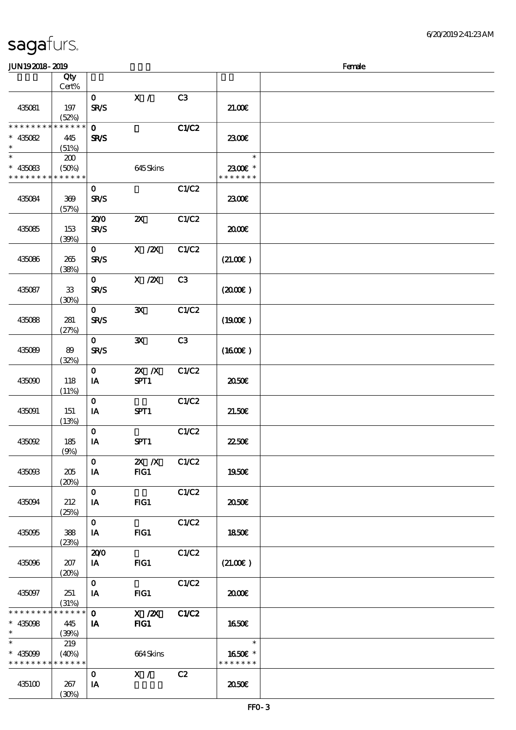| JUN192018-2019                                                   |                             |                             |                            |                |                                    | Female |
|------------------------------------------------------------------|-----------------------------|-----------------------------|----------------------------|----------------|------------------------------------|--------|
|                                                                  | Qty<br>Cert%                |                             |                            |                |                                    |        |
| 435081                                                           | 197<br>(52%)                | $\mathbf{O}$<br><b>SR/S</b> | $\mathbf{X}$ /             | C <sub>3</sub> | 21.00                              |        |
| * * * * * * * *<br>$* 435082$<br>$\ast$                          | * * * * * *<br>445<br>(51%) | $\mathbf 0$<br><b>SR/S</b>  |                            | <b>C1/C2</b>   | 2300E                              |        |
| $\ast$<br>$* 435083$<br>* * * * * * * * <mark>* * * * * *</mark> | 200<br>(50%)                |                             | 645Skins                   |                | $\ast$<br>2300E *<br>* * * * * * * |        |
| 435084                                                           | 369<br>(57%)                | $\mathbf{O}$<br><b>SR/S</b> |                            | C1/C2          | 2300E                              |        |
| 435085                                                           | 153<br>(39%)                | 200<br><b>SR/S</b>          | $\boldsymbol{\mathsf{X}}$  | C1/C2          | 2000€                              |        |
| 435086                                                           | 265<br>(38%)                | $\mathbf{O}$<br><b>SR/S</b> | $X$ / $ZX$                 | C1/C2          | (21.00)                            |        |
| 435087                                                           | ${\bf 33}$<br>(30%)         | $\mathbf{O}$<br><b>SR/S</b> | $X$ / $ZX$                 | C <sub>3</sub> | (200)                              |        |
| 435088                                                           | 281<br>(27%)                | $\mathbf{o}$<br><b>SR/S</b> | ${\bf x}$                  | C1/C2          | (1900E)                            |        |
| 435089                                                           | 89<br>(32%)                 | $\mathbf{O}$<br><b>SR/S</b> | $\mathbf{x}$               | C <sub>3</sub> | (1600)                             |        |
| 435090                                                           | 118<br>(11%)                | $\mathbf 0$<br>IA           | $Z\!X$ $\,$ $Z\!X$<br>SPT1 | C1/C2          | ææ                                 |        |
| 435091                                                           | 151<br>(13%)                | $\mathbf 0$<br>IA           | SPT1                       | C1/C2          | 21.50E                             |        |
| 435092                                                           | 185<br>(9%)                 | $\mathbf 0$<br>IA           | SPT1                       | C1/C2          | 22.50E                             |        |
| 435093                                                           | 205<br>(20%)                | $\mathbf{o}$<br>IA          | 2X /X C1/C2<br>FIG1        |                | 1950€                              |        |
| 435094                                                           | 212<br>(25%)                | $\mathbf{O}$<br>IA          | FG1                        | C1/C2          | 2050E                              |        |
| 435095                                                           | 388<br>(23%)                | $\mathbf{O}$<br>IA          | FG1                        | C1/C2          | 1850E                              |        |
| 435096                                                           | 207<br>(20%)                | 200<br><b>IA</b>            | FG1                        | C1/C2          | (21.00)                            |        |
| 435097                                                           | 251<br>(31%)                | $\mathbf{O}$<br>IA          | FG1                        | C1/C2          | 2000E                              |        |
| * * * * * * * * * * * * * *<br>$* 435098$<br>$\ast$              | 445<br>(39%)                | $\mathbf{O}$<br>IA          | X /2X C1/C2<br>FIG1        |                | 1650E                              |        |
| $\ast$<br>$* 435099$<br>* * * * * * * *                          | 219<br>(40%)<br>* * * * * * |                             | 664Skins                   |                | $\ast$<br>1650€ *<br>* * * * * * * |        |
| 435100                                                           | 267<br>(30%)                | $\mathbf{o}$<br>IA          | $\mathbf{X}$ /             | C2             | 2050E                              |        |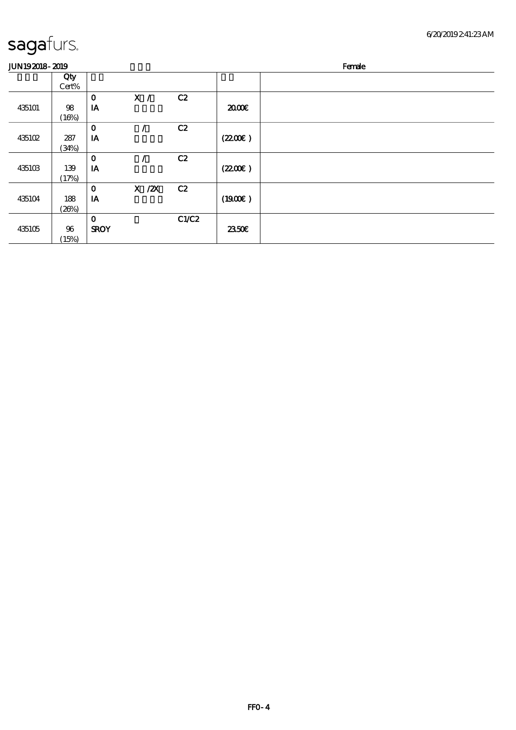| JUN192018-2019 | Female |
|----------------|--------|
|----------------|--------|

|        | Qty    |              |            |       |        |  |
|--------|--------|--------------|------------|-------|--------|--|
|        | Cert%  |              |            |       |        |  |
|        |        | $\mathbf 0$  | X /        | C2    |        |  |
| 435101 | 98     | IA           |            |       | 2000   |  |
|        | (16%)  |              |            |       |        |  |
|        |        | $\mathbf 0$  |            | C2    |        |  |
| 435102 | 287    | IA           |            |       | (220E) |  |
|        | (34%)  |              |            |       |        |  |
|        |        | $\mathbf{o}$ |            | C2    |        |  |
| 435103 | 139    | IA           |            |       | (220E) |  |
|        | (17%)  |              |            |       |        |  |
|        |        | $\mathbf 0$  | $X$ / $ZX$ | C2    |        |  |
| 435104 | 188    | IA           |            |       | (1900) |  |
|        | (20%)  |              |            |       |        |  |
|        |        | $\mathbf 0$  |            | C1/C2 |        |  |
| 435105 | $96\,$ | <b>SROY</b>  |            |       | 2350E  |  |
|        | (15%)  |              |            |       |        |  |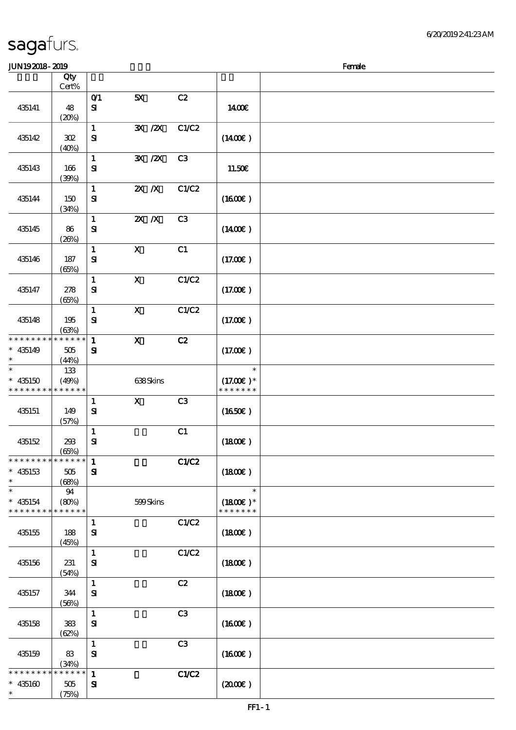#### $J/N192018 - 2019$

| www.www                                                            |                             |                              |                                        |                |                                        | rance |
|--------------------------------------------------------------------|-----------------------------|------------------------------|----------------------------------------|----------------|----------------------------------------|-------|
|                                                                    | Qty<br>$Cert\%$             |                              |                                        |                |                                        |       |
| 435141                                                             | 48<br>(20%)                 | O(1)<br>${\bf s}$            | 5X                                     | C2             | 1400E                                  |       |
| 435142                                                             | ${\bf 3\!}$<br>(40%)        | $\mathbf{1}$<br>${\bf S}$    | $\overline{\mathbf{X}}$ / $\mathbf{X}$ | C1/C2          | $(1400\varepsilon)$                    |       |
| 435143                                                             | 166<br>(30%)                | $\mathbf{1}$<br>${\bf S\!I}$ | $\mathbf{X}$ / $\mathbf{X}$            | C3             | 11.50€                                 |       |
| 435144                                                             | 150<br>(34%)                | $\mathbf 1$<br>$\mathbf{S}$  | $X$ $N$                                | C1/C2          | (1600)                                 |       |
| 435145                                                             | 86<br>(20%)                 | $\mathbf{1}$<br>${\bf S}$    | $X$ $N$                                | C3             | $(1400\varepsilon)$                    |       |
| 435146                                                             | $187\,$<br>(65%)            | $\mathbf{1}$<br>$\mathbf{S}$ | $\boldsymbol{\mathrm{X}}$              | C1             | (17.00)                                |       |
| 435147                                                             | $278\,$<br>(65%)            | $\mathbf{1}$<br>${\bf S}$    | $\mathbf X$                            | C1/C2          | (17.00)                                |       |
| 435148                                                             | 195<br>(63%)                | $\mathbf{1}$<br>${\bf S}$    | $\boldsymbol{\mathsf{X}}$              | C1/C2          | (17.00)                                |       |
| * * * * * * * *<br>$* 435149$<br>$\ast$                            | ******<br>$505\,$<br>(44%)  | $\mathbf{1}$<br>$\mathbf{S}$ | $\mathbf x$                            | C2             | (17.00)                                |       |
| $\ast$<br>$* 435150$<br>* * * * * * * *                            | 133<br>(49%)<br>* * * * * * |                              | 638Skins                               |                | $\ast$<br>$(17.00)$ *<br>* * * * * * * |       |
| 435151                                                             | 149<br>(57%)                | $\mathbf{1}$<br>${\bf s}$    | $\mathbf{X}$                           | C3             | (1650)                                 |       |
| 435152                                                             | 293<br>(65%)                | $\mathbf{1}$<br>$\bf S\!I$   |                                        | C1             | (1800)                                 |       |
| *************** 1<br>$* 435153$<br>$\ast$                          | 505<br>(68%)                | $\mathbf{S}$                 |                                        | C1/C2          | (1800)                                 |       |
| $\ast$<br>$* 435154$<br>* * * * * * * * <mark>* * * * * *</mark> * | 94<br>(80%)                 |                              | 599Skins                               |                | $\ast$<br>$(1800)$ *<br>* * * * * * *  |       |
| 435155                                                             | 188<br>(45%)                | $\mathbf{1}$<br>$\mathbf{S}$ |                                        | C1/C2          | (1800)                                 |       |
| 435156                                                             | 231<br>(54%)                | $\mathbf{1}$<br>${\bf S}$    |                                        | C1/C2          | (1800)                                 |       |
| 435157                                                             | 344<br>(56%)                | $\mathbf{1}$<br>$\mathbf{S}$ |                                        | C2             | (1800)                                 |       |
| 435158                                                             | 383<br>(62%)                | $\mathbf{1}$<br>${\bf s}$    |                                        | C <sub>3</sub> | (1600)                                 |       |
| 435159                                                             | 83<br>(34%)                 | $\mathbf{1}$<br>$\mathbf{S}$ |                                        | C3             | (1600E)                                |       |
| * * * * * * * *<br>$* 435160$<br>$\ast$                            | * * * * * *<br>505<br>(75%) | $\mathbf{1}$<br>${\bf s}$    |                                        | C1/C2          | (200E)                                 |       |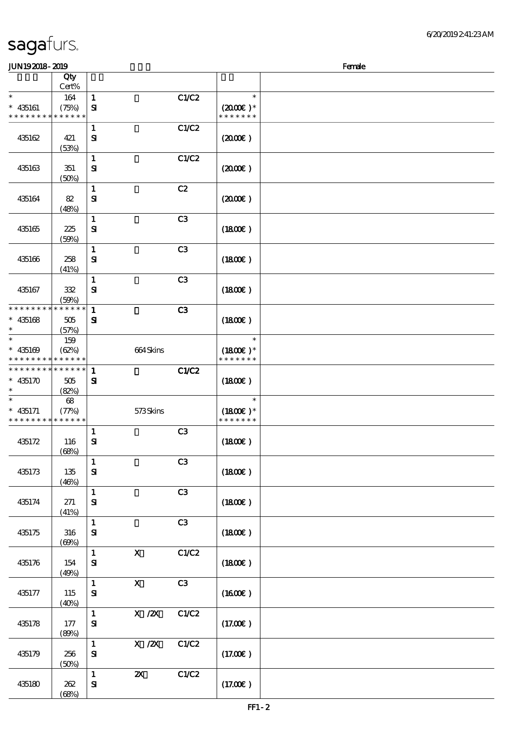| 6'20'2019241:23AM |
|-------------------|
|                   |

| <b>JUN192018-2019</b>                                    |                      |              |                           |                |                             | Female |
|----------------------------------------------------------|----------------------|--------------|---------------------------|----------------|-----------------------------|--------|
|                                                          | Qty                  |              |                           |                |                             |        |
|                                                          | Cert%                |              |                           |                |                             |        |
| $\ast$                                                   | 164                  | $\mathbf 1$  |                           | C1/C2          | $\ast$                      |        |
| $* 435161$<br>* * * * * * * *                            | (75%)<br>* * * * * * | $\mathbf{S}$ |                           |                | $(2000)$ *<br>* * * * * * * |        |
|                                                          |                      | $\mathbf{1}$ |                           | C1/C2          |                             |        |
| 435162                                                   | 421                  | ${\bf s}$    |                           |                | (200)                       |        |
|                                                          | (53%)                |              |                           |                |                             |        |
|                                                          |                      | $\mathbf{1}$ |                           | C1/C2          |                             |        |
| 435163                                                   | 351                  | ${\bf s}$    |                           |                | (200E)                      |        |
|                                                          | (50%)                |              |                           |                |                             |        |
|                                                          |                      | $\mathbf{1}$ |                           | C2             |                             |        |
| 435164                                                   | 82                   | ${\bf s}$    |                           |                | $(2000\varepsilon)$         |        |
|                                                          | (48%)                |              |                           |                |                             |        |
|                                                          |                      | $\mathbf{1}$ |                           | C <sub>3</sub> |                             |        |
| 435165                                                   | 225                  | ${\bf s}$    |                           |                | (1800)                      |        |
|                                                          | (50%)                |              |                           |                |                             |        |
|                                                          |                      | $\mathbf{1}$ |                           | C <sub>3</sub> |                             |        |
| 435166                                                   | 258<br>(41%)         | $\mathbf{S}$ |                           |                | (1800)                      |        |
|                                                          |                      | $\mathbf{1}$ |                           | C3             |                             |        |
| 435167                                                   | 332                  | $\mathbf{S}$ |                           |                | (1800)                      |        |
|                                                          | (50%)                |              |                           |                |                             |        |
| * * * * * * * * * * * * * *                              |                      | $\mathbf{1}$ |                           | C3             |                             |        |
| $* 435168$                                               | 505                  | ${\bf s}$    |                           |                | (1800)                      |        |
| $\ast$                                                   | (57%)                |              |                           |                |                             |        |
| $\ast$                                                   | 159                  |              |                           |                | $\ast$                      |        |
| $* 435169$                                               | (62%)                |              | 664Skins                  |                | $(1800E)*$                  |        |
| * * * * * * * * * * * * * *                              |                      |              |                           |                | * * * * * * *               |        |
| * * * * * * * * <mark>* * * * * * *</mark><br>$* 435170$ |                      | $\mathbf{1}$ |                           | <b>C1/C2</b>   |                             |        |
|                                                          | 505<br>(82%)         | ${\bf s}$    |                           |                | (1800)                      |        |
|                                                          | $\pmb{\mathsf{68}}$  |              |                           |                | $\ast$                      |        |
| $* 435171$                                               | (77%)                |              | 573Skins                  |                | $(1800E)*$                  |        |
| * * * * * * * * * * * * * *                              |                      |              |                           |                | * * * * * * *               |        |
|                                                          |                      | $\mathbf 1$  |                           | C <sub>3</sub> |                             |        |
| 435172                                                   | 116                  | $\mathbf{S}$ |                           |                | $(1800\varepsilon)$         |        |
|                                                          | (68%)                |              |                           |                |                             |        |
|                                                          |                      | $\mathbf{1}$ |                           | C3             |                             |        |
| 435173                                                   | 135                  | ${\bf S}$    |                           |                | (1800)                      |        |
|                                                          | (46%)                | $\mathbf{1}$ |                           | C3             |                             |        |
| 435174                                                   | 271                  | ${\bf S}$    |                           |                | (1800)                      |        |
|                                                          | (41%)                |              |                           |                |                             |        |
|                                                          |                      | $\mathbf{1}$ |                           | C <sub>3</sub> |                             |        |
| 435175                                                   | 316                  | ${\bf s}$    |                           |                | (1800)                      |        |
|                                                          | (60%)                |              |                           |                |                             |        |
|                                                          |                      | $\mathbf{1}$ | $\mathbf{x}$              | C1/C2          |                             |        |
| 435176                                                   | 154                  | ${\bf s}$    |                           |                | (1800)                      |        |
|                                                          | (49%)                |              |                           |                |                             |        |
|                                                          |                      | $\mathbf{1}$ | $\mathbf{X}$              | C3             |                             |        |
| 435177                                                   | 115<br>(40%)         | ${\bf s}$    |                           |                | (1600E)                     |        |
|                                                          |                      | $\mathbf{1}$ | $X$ / $ZX$                | C1/C2          |                             |        |
| 435178                                                   | 177                  | ${\bf s}$    |                           |                | (17.00)                     |        |
|                                                          | (80%)                |              |                           |                |                             |        |
|                                                          |                      | $\mathbf{1}$ | X / ZX                    | C1/C2          |                             |        |
| 435179                                                   | 256                  | ${\bf S}$    |                           |                | (17.00)                     |        |
|                                                          | (50%)                |              |                           |                |                             |        |
|                                                          |                      | $\mathbf{1}$ | $\boldsymbol{\mathsf{Z}}$ | C1/C2          |                             |        |
| 435180                                                   | 262                  | ${\bf s}$    |                           |                | (17.00)                     |        |
|                                                          | (68%)                |              |                           |                |                             |        |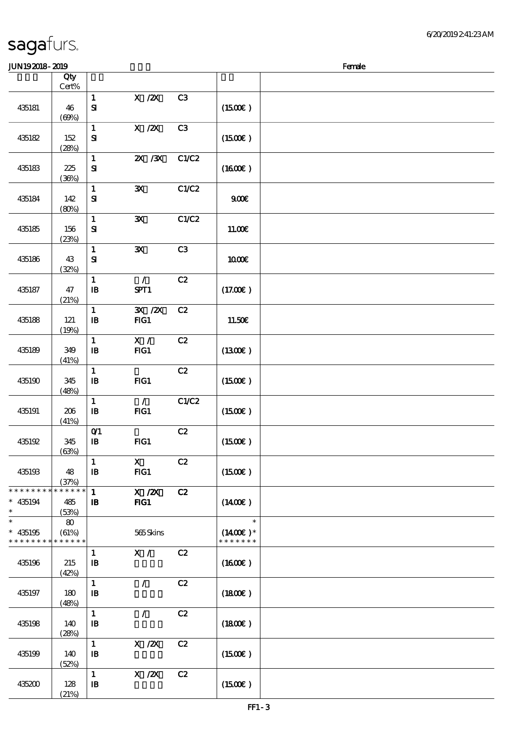| <b>JUN192018-2019</b>                                          |                             |                                            |                       |                |                                       | Female |
|----------------------------------------------------------------|-----------------------------|--------------------------------------------|-----------------------|----------------|---------------------------------------|--------|
|                                                                | Qty<br>Cert%                |                                            |                       |                |                                       |        |
| 435181                                                         | 46<br>(60%)                 | $\mathbf{1}$<br>$\mathbf{S}$               | $X$ / $ZX$            | C3             | (1500E)                               |        |
| 435182                                                         | 152<br>(28%)                | $\mathbf{1}$<br>$\mathbf{S}$               | X / ZX                | C <sub>3</sub> | (1500E)                               |        |
| 435183                                                         | 225<br>(36%)                | $\mathbf{1}$<br>$\mathbf{S}$               | $X \, X$              | C1/C2          | $(1600\varepsilon)$                   |        |
| 435184                                                         | 142<br>(80%)                | $\mathbf{1}$<br>${\bf s}$                  | ${\bf X}$             | C1/C2          | 900E                                  |        |
| 435185                                                         | 156<br>(23%)                | $\mathbf{1}$<br>${\bf s}$                  | ${\bf X}$             | C1/C2          | 11.00€                                |        |
| 435186                                                         | 43<br>(32%)                 | $\mathbf{1}$<br>${\bf S}$                  | ${\bf X}$             | C <sub>3</sub> | 1000E                                 |        |
| 435187                                                         | 47<br>(21%)                 | $\mathbf{1}$<br>$\, {\bf B}$               | $\mathcal{L}$<br>SPT1 | C2             | (17.00)                               |        |
| 435188                                                         | 121<br>(19%)                | $\mathbf{1}$<br>$\, {\bf I} \! {\bf B} \,$ | 3X / 2X<br>FG1        | C2             | 11.50€                                |        |
| 435189                                                         | 349<br>(41%)                | $\mathbf{1}$<br>$\mathbf{I}$               | X /<br>FG1            | C2             | (1300E)                               |        |
| 435190                                                         | 345<br>(48%)                | $\mathbf{1}$<br>${\bf I\!B}$               | FG1                   | C2             | (1500E)                               |        |
| 435191                                                         | 206<br>(41%)                | $\mathbf 1$<br>$\, {\bf I} \! {\bf B} \,$  | $\mathcal{T}$<br>FG1  | C1/C2          | (1500E)                               |        |
| 435192                                                         | 345<br>(63%)                | $O$ $1$<br>${\bf I\!B}$                    | FG1                   | C2             | (1500E)                               |        |
| 435193                                                         | 48<br>(37%)                 | $\mathbf{1}$<br>$\mathbf{B}$               | $\mathbf{X}$<br>$HG1$ | C2             | (1500E)                               |        |
| * * * * * * * *<br>$* 435194$<br>$\ast$                        | * * * * * *<br>485<br>(53%) | $\mathbf{1}$<br>$\mathbf{B}$               | $X$ / $ZX$<br>$HG1$   | C2             | $(1400\varepsilon)$                   |        |
| $\overline{\ast}$<br>$* 435195$<br>* * * * * * * * * * * * * * | 80<br>(61%)                 |                                            | 565Skins              |                | $\ast$<br>$(1400E)*$<br>* * * * * * * |        |
| 435196                                                         | 215<br>(42%)                | $\mathbf{1}$<br>$\mathbf{B}$               | X /                   | C2             | (1600E)                               |        |
| 435197                                                         | 180<br>(48%)                | $\mathbf{1}$<br>$\mathbf{B}$               | $\mathcal{L}$         | C2             | (1800)                                |        |
| 435198                                                         | 140<br>(28%)                | $\mathbf{1}$<br>$\mathbf{B}$               | $\mathcal{L}$         | C2             | (1800)                                |        |
| 435199                                                         | 140<br>(52%)                | $\mathbf{1}$<br>$\mathbf{B}$               | $X$ / $ZX$            | C2             | (1500E)                               |        |
| 435200                                                         | 128<br>(21%)                | $\mathbf{1}$<br>$\mathbf{B}$               | $X$ / $ZX$            | C2             | (1500E)                               |        |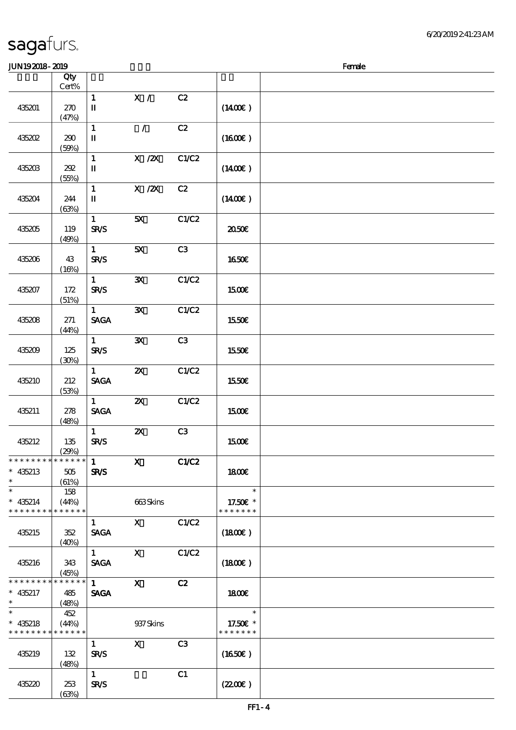#### $J/N192018 - 2019$

| www.www          |                        |                                       |                           |                |                     | $\cdots$ |
|------------------|------------------------|---------------------------------------|---------------------------|----------------|---------------------|----------|
|                  | Qty<br>$\mbox{Cert}\%$ |                                       |                           |                |                     |          |
|                  |                        | $\mathbf{1}$                          | X /                       | C2             |                     |          |
| 435201           | 270                    | $\mathbf I$                           |                           |                | $(1400\varepsilon)$ |          |
|                  | (47%)                  |                                       |                           |                |                     |          |
|                  |                        | $\mathbf{1}$                          | $\mathcal{L}$             | C2             |                     |          |
| <b>435202</b>    | 290                    | $\rm I\hspace{-.1em}I\hspace{-.1em}I$ |                           |                | (1600)              |          |
|                  | (50%)                  |                                       |                           |                |                     |          |
| 435203           | 202                    | $\mathbf{1}$<br>$\mathbf{I}$          | $X$ / $ZX$                | C1/C2          | $(1400\varepsilon)$ |          |
|                  | (55%)                  |                                       |                           |                |                     |          |
|                  |                        | $\mathbf{1}$                          | $X$ / $ZX$                | C2             |                     |          |
| 435204           | 244                    | $\mathbf{I}\mathbf{I}$                |                           |                | $(1400\varepsilon)$ |          |
|                  | (63%)                  |                                       |                           |                |                     |          |
|                  |                        | $\mathbf{1}$                          | 5X                        | C1/C2          |                     |          |
| 435205           | 119                    | <b>SR/S</b>                           |                           |                | 2050E               |          |
|                  | (49%)                  | $\mathbf{1}$                          | 5X                        | C3             |                     |          |
| 435206           | 43                     | <b>SR/S</b>                           |                           |                | 1650€               |          |
|                  | (16%)                  |                                       |                           |                |                     |          |
|                  |                        | $\mathbf{1}$                          | $\mathbf{x}$              | C1/C2          |                     |          |
| 435207           | 172                    | SR/S                                  |                           |                | 1500€               |          |
|                  | (51%)                  |                                       |                           |                |                     |          |
|                  |                        | $\mathbf{1}$                          | $\mathbf{x}$              | C1/C2          |                     |          |
| 435208           | 271                    | <b>SAGA</b>                           |                           |                | 1550€               |          |
|                  | (44%)                  | $\mathbf{1}$                          | $\mathbf{x}$              | C3             |                     |          |
| 435209           | $125\,$                | <b>SR/S</b>                           |                           |                | 1550€               |          |
|                  | (30%)                  |                                       |                           |                |                     |          |
|                  |                        | $\mathbf{1}$                          | $\boldsymbol{\mathsf{Z}}$ | C1/C2          |                     |          |
| 435210           | 212                    | <b>SAGA</b>                           |                           |                | 1550€               |          |
|                  | (53%)                  |                                       |                           |                |                     |          |
|                  |                        | $\mathbf{1}$                          | $\boldsymbol{\mathsf{X}}$ | C1/C2          |                     |          |
| 435211           | 278<br>(48%)           | <b>SAGA</b>                           |                           |                | <b>150€</b>         |          |
|                  |                        | $\mathbf{1}$                          | $\pmb{\mathsf{zx}}$       | C3             |                     |          |
| 435212           | $135\,$                | <b>SR/S</b>                           |                           |                | 1500€               |          |
|                  | (29%)                  |                                       |                           |                |                     |          |
| ************** 1 |                        |                                       | $\boldsymbol{\mathrm{X}}$ | C1/C2          |                     |          |
| $* 435213$       | 505                    | <b>SR/S</b>                           |                           |                | 1800E               |          |
| $\ast$<br>$\ast$ | (61%)                  |                                       |                           |                | $\ast$              |          |
| $* 435214$       | 158<br>(44%)           |                                       | 663Skins                  |                | 17.50 £*            |          |
| * * * * * * * *  | * * * * * *            |                                       |                           |                | * * * * * * *       |          |
|                  |                        | $\mathbf{1}$                          | $\mathbf{x}$              | C1/C2          |                     |          |
| 435215           | 352                    | <b>SAGA</b>                           |                           |                | (1800)              |          |
|                  | (40%)                  |                                       |                           |                |                     |          |
|                  |                        | $\mathbf{1}$                          | $\mathbf{x}$              | C1/C2          |                     |          |
| 435216           | 343                    | <b>SAGA</b>                           |                           |                | (1800)              |          |
| * * * * * * * *  | (45%)<br>* * * * * *   | $\mathbf{1}$                          | $\mathbf{X}$              | C2             |                     |          |
| $* 435217$       | 485                    | <b>SAGA</b>                           |                           |                | 1800E               |          |
| $\ast$           | (48%)                  |                                       |                           |                |                     |          |
| $\ast$           | 452                    |                                       |                           |                | $\ast$              |          |
| $* 435218$       | (44%)                  |                                       | 937 Skins                 |                | 17.50E *            |          |
| * * * * * * * *  | * * * * * *            |                                       |                           |                | * * * * * * *       |          |
| 435219           |                        | $\mathbf{1}$                          | $\mathbf{x}$              | C <sub>3</sub> |                     |          |
|                  | 132<br>(48%)           | <b>SR/S</b>                           |                           |                | (1650)              |          |
|                  |                        | $\mathbf{1}$                          |                           | C1             |                     |          |
| 435220           | 253                    | <b>SR/S</b>                           |                           |                | (220E)              |          |
|                  | (63%)                  |                                       |                           |                |                     |          |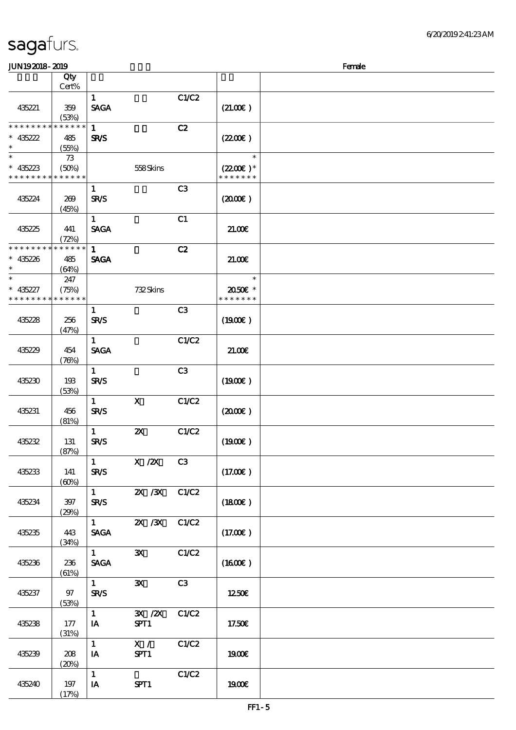#### sagafurs.  $J/N192018$ - 2019  $R$ 顺序号 Qty 说明 价格 Cert%  $\overline{1}$  C1/C2 435221 359  $SAGA$  (21.00 $\varepsilon$ ) (53%) \* \* \* \* \* \* \* \* \* \* \* \* \* \*  $1$  C<sub>2</sub> \*\* 435222 485 SR/S (55%) \*<br>\* 435223 73 (50%) 558 Skins \* \* \* \* \* \* \* \* \* \* \* \* \* \* \* \* \*  $1$  C3 435224 269 (45%) 1 c1 435225 441 (72%) \* \* \* \* \* \* \* \* \* \* \* \* \* \* 1 cases  $C2$

| 435221               | 359<br>(53%)         | SAGA                                         |                             |                | (21.00)              |  |
|----------------------|----------------------|----------------------------------------------|-----------------------------|----------------|----------------------|--|
| * * * * * * * *      | * * * * * *          | $\mathbf{1}$                                 |                             | C2             |                      |  |
| $* 435222$<br>$\ast$ | 485                  | <b>SR/S</b>                                  |                             |                | (220E)               |  |
| $\ast$               | (55%)<br>73          |                                              |                             |                | $\ast$               |  |
| $* 435223$           | (50%)                |                                              | 558Skins                    |                | $(2200\varepsilon)*$ |  |
| * * * * * * * *      | * * * * * *          |                                              |                             |                | * * * * * * *        |  |
| 435224               | 269                  | $\mathbf{1}$<br><b>SR/S</b>                  |                             | C <sub>3</sub> | (200E)               |  |
|                      | (45%)                |                                              |                             |                |                      |  |
|                      |                      | $\mathbf{1}$                                 |                             | C1             |                      |  |
| 435225               | 441                  | <b>SAGA</b>                                  |                             |                | 21.006               |  |
| * * * * * * * *      | (72%)<br>* * * * * * | $\mathbf{1}$                                 |                             | C2             |                      |  |
| $* 435226$           | 485                  | <b>SAGA</b>                                  |                             |                | 21.00E               |  |
| $\ast$               | (64%)                |                                              |                             |                |                      |  |
| $\ast$<br>$* 435227$ | 247<br>(75%)         |                                              | 732Skins                    |                | $\ast$<br>2050E *    |  |
| * * * * * * * *      | * * * * * *          |                                              |                             |                | * * * * * * *        |  |
|                      |                      | $\mathbf{1}$                                 |                             | C <sub>3</sub> |                      |  |
| 435228               | 256                  | <b>SR/S</b>                                  |                             |                | (1900E)              |  |
|                      | (47%)                | $\mathbf{1}$                                 |                             | C1/C2          |                      |  |
| 435229               | 454                  | <b>SAGA</b>                                  |                             |                | 21.00E               |  |
|                      | (78%)                |                                              |                             |                |                      |  |
|                      |                      | $\mathbf{1}$                                 |                             | C3             |                      |  |
| 435230               | 193<br>(53%)         | <b>SR/S</b>                                  |                             |                | (1900E)              |  |
|                      |                      | $\mathbf{1}$                                 | $\boldsymbol{\mathsf{X}}$   | C1/C2          |                      |  |
| 435231               | 456                  | <b>SR/S</b>                                  |                             |                | $(2000\varepsilon)$  |  |
|                      | (81%)                | $\mathbf{1}$                                 | $\boldsymbol{\mathsf{z}}$   | C1/C2          |                      |  |
| 435232               | 131                  | <b>SR/S</b>                                  |                             |                | (1900)               |  |
|                      | (87%)                |                                              |                             |                |                      |  |
| 435233               | 141                  | $\mathbf{1}$<br><b>SR/S</b>                  | $X$ / $ZX$                  | C3             | (17.00)              |  |
|                      | (60%)                |                                              |                             |                |                      |  |
|                      |                      | $\mathbf{1}$                                 | $\mathbf{X}$ / $\mathbf{X}$ | C1/C2          |                      |  |
| 435234               | 397                  | <b>SR/S</b>                                  |                             |                | (1800)               |  |
|                      | (29%)                | $\mathbf{1}$                                 | 2X / 3X                     | C1/C2          |                      |  |
| 435235               | 443                  | <b>SAGA</b>                                  |                             |                | (17.00)              |  |
|                      | (34%)                |                                              |                             |                |                      |  |
|                      |                      | $\mathbf{1}$<br>$\ensuremath{\mathsf{SAGA}}$ | $\mathbf{x}$                | C1/C2          | (1600E)              |  |
| 435236               | 236<br>(61%)         |                                              |                             |                |                      |  |
|                      |                      | $\mathbf{1}$                                 | $\mathbf{x}$                | C3             |                      |  |
| 435237               | 97                   | <b>SR/S</b>                                  |                             |                | 1250€                |  |
|                      | (53%)                | $\mathbf{1}$                                 | $\mathbf{X}$ / $\mathbf{X}$ | C1/C2          |                      |  |
| 435238               | 177                  | IA                                           | SPT1                        |                | 17.50€               |  |
|                      | (31%)                |                                              |                             |                |                      |  |
| 435239               | 208                  | $\mathbf{1}$<br>IA                           | X /<br>SPT1                 | C1/C2          | 1900E                |  |
|                      | (20%)                |                                              |                             |                |                      |  |
|                      |                      | $\mathbf{1}$                                 |                             | C1/C2          |                      |  |
| 435240               | 197<br>(17%)         | IA                                           | SPT1                        |                | 1900€                |  |
|                      |                      |                                              |                             |                |                      |  |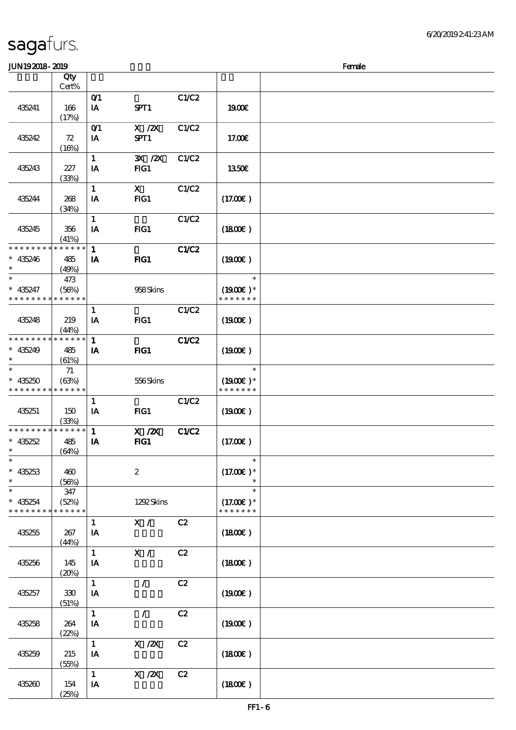| <b>JUN192018-2019</b>         |                      |              |                                       |              |                             | Female |
|-------------------------------|----------------------|--------------|---------------------------------------|--------------|-----------------------------|--------|
|                               | Qty                  |              |                                       |              |                             |        |
|                               | Cert%                |              |                                       |              |                             |        |
|                               |                      | O(1)         |                                       | C1/C2        |                             |        |
| 435241                        | 166                  | IA           | SPT1                                  |              | <b>1900€</b>                |        |
|                               | (17%)                |              |                                       |              |                             |        |
|                               |                      | O(1)         | $\boldsymbol{\mathrm{X}}$ / <b>ZX</b> | C1/C2        |                             |        |
| 435242                        | 72                   | IA           | SPT1                                  |              | 17.00E                      |        |
|                               | (16%)                |              |                                       |              |                             |        |
|                               |                      | $\mathbf{1}$ | 3X / 2X                               | C1/C2        |                             |        |
| 435243                        | 227                  | IA           | $HG1$                                 |              | 1350E                       |        |
|                               | (33%)                |              |                                       |              |                             |        |
|                               |                      | $\mathbf{1}$ | $\mathbf x$                           | C1/C2        |                             |        |
| 435244                        | 268                  | IA           | FG1                                   |              | (17.00)                     |        |
|                               | (34%)                |              |                                       |              |                             |        |
|                               |                      | $\mathbf{1}$ |                                       | C1/C2        |                             |        |
| 435245                        | 356                  | IA           | $HG1$                                 |              | (1800)                      |        |
|                               | (41%)                |              |                                       |              |                             |        |
| * * * * * * * *               | * * * * * *          | $\mathbf{1}$ |                                       | C1/C2        |                             |        |
| $* 435246$                    | 485                  | IA           | FIG1                                  |              | (1900E)                     |        |
| $\ast$                        | (49%)                |              |                                       |              |                             |        |
| $\ast$                        | 473                  |              |                                       |              | $\ast$                      |        |
| $* 435247$                    | (56%)                |              | 958Skins                              |              | $(1900E)*$                  |        |
| * * * * * * * *               | * * * * * *          |              |                                       |              | * * * * * * *               |        |
|                               |                      | $\mathbf{1}$ |                                       | C1/C2        |                             |        |
| 435248                        | 219                  | IA           | $HG1$                                 |              | (1900E)                     |        |
|                               | (44%)                |              |                                       |              |                             |        |
| * * * * * * * *               | * * * * * *          | $\mathbf{1}$ |                                       | <b>C1/C2</b> |                             |        |
| $* 435249$                    | 485                  | IA           | FIG1                                  |              | (1900E)                     |        |
| $\ast$                        | (61%)                |              |                                       |              |                             |        |
| $\ast$                        | 71                   |              |                                       |              | $\ast$                      |        |
| $* 435250$<br>* * * * * * * * | (63%)<br>* * * * * * |              | 556Skins                              |              | $(1900E)*$<br>* * * * * * * |        |
|                               |                      |              |                                       |              |                             |        |
|                               |                      | $\mathbf{1}$ |                                       | C1/C2        |                             |        |
| 435251                        | 150                  | IA           | $HG1$                                 |              | (1900E)                     |        |
| * * * * * * * *               | (33%)<br>* * * * * * | $\mathbf{1}$ | $X$ / $ZX$                            | <b>C1/C2</b> |                             |        |
| $* 435252$                    | 485                  | IA           | $HG1$                                 |              | (17.00)                     |        |
| $*$                           | (64%)                |              |                                       |              |                             |        |
| $\ast$                        |                      |              |                                       |              | $\ast$                      |        |
| $* 435253$                    | 460                  |              | $\boldsymbol{z}$                      |              | $(17.00)$ *                 |        |
| $\ast$                        | (56%)                |              |                                       |              |                             |        |
| $\ast$                        | 347                  |              |                                       |              | $\ast$                      |        |
| $* 435254$                    | (52%)                |              | 1292Skins                             |              | $(17.00)$ *                 |        |
| * * * * * * * *               | * * * * * *          |              |                                       |              | * * * * * * *               |        |
|                               |                      | $\mathbf{1}$ | X /                                   | C2           |                             |        |
| 435255                        | 267                  | IA           |                                       |              | (1800)                      |        |
|                               | (44%)                |              |                                       |              |                             |        |
|                               |                      | $\mathbf{1}$ | X /                                   | C2           |                             |        |
| 435256                        | 145                  | IA           |                                       |              | (1800)                      |        |
|                               | (20%)                |              |                                       |              |                             |        |
|                               |                      | $\mathbf{1}$ | $\mathcal{L}$                         | C2           |                             |        |
| 435257                        | 330                  | IA           |                                       |              | (1900E)                     |        |
|                               | (51%)                |              |                                       |              |                             |        |
|                               |                      | $\mathbf{1}$ | $\mathcal{L}$                         | C2           |                             |        |
| 435258                        | 264                  | IA           |                                       |              | (1900)                      |        |
|                               | (22%)                |              |                                       |              |                             |        |
|                               |                      | $\mathbf{1}$ | X / ZX                                | C2           |                             |        |
| 435259                        | 215                  | IA           |                                       |              | (1800)                      |        |
|                               | (55%)                |              |                                       |              |                             |        |
|                               |                      | $\mathbf{1}$ | $X$ / $ZX$                            | C2           |                             |        |
| 435260                        | 154                  | IA           |                                       |              | (1800)                      |        |
|                               | (25%)                |              |                                       |              |                             |        |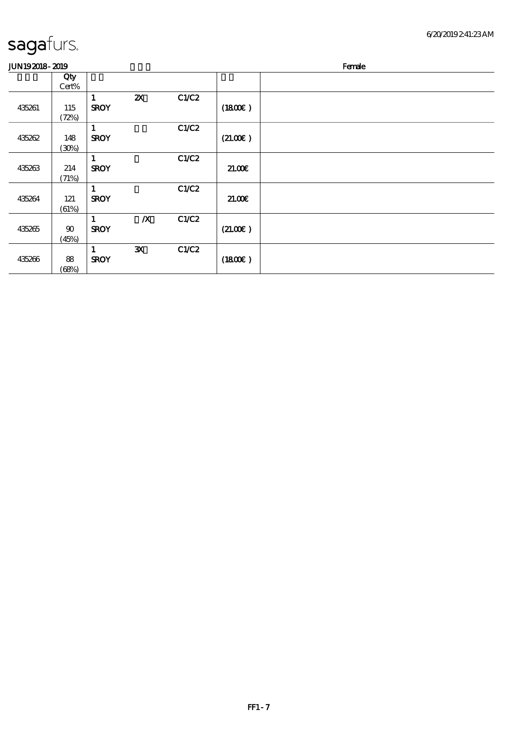| JUN192018-2019 | Female |
|----------------|--------|

| He<br>яρ<br>$\sim$ |  |
|--------------------|--|
|                    |  |

|        | Qty    |              |                           |       |         |  |
|--------|--------|--------------|---------------------------|-------|---------|--|
|        | Cert%  |              |                           |       |         |  |
|        |        | 1            | $\boldsymbol{\mathsf{Z}}$ | C1/C2 |         |  |
| 435261 | 115    | <b>SROY</b>  |                           |       | (1800)  |  |
|        | (72%)  |              |                           |       |         |  |
|        |        | 1            |                           | C1/C2 |         |  |
| 435262 | 148    | <b>SROY</b>  |                           |       | (21.00) |  |
|        | (30%)  |              |                           |       |         |  |
|        |        | 1            |                           | C1/C2 |         |  |
| 435263 | 214    | <b>SROY</b>  |                           |       | 21.00E  |  |
|        | (71%)  |              |                           |       |         |  |
|        |        | $\mathbf{1}$ |                           | C1/C2 |         |  |
| 435264 | 121    | <b>SROY</b>  |                           |       | 21.00   |  |
|        | (61%)  |              |                           |       |         |  |
|        |        | 1            | $\boldsymbol{X}$          | C1/C2 |         |  |
| 435265 | $90\,$ | <b>SROY</b>  |                           |       | (21.00) |  |
|        | (45%)  |              |                           |       |         |  |
|        |        | 1            | $\mathbf{x}$              | C1/C2 |         |  |
| 435266 | 88     | <b>SROY</b>  |                           |       | (1800)  |  |
|        | (68%)  |              |                           |       |         |  |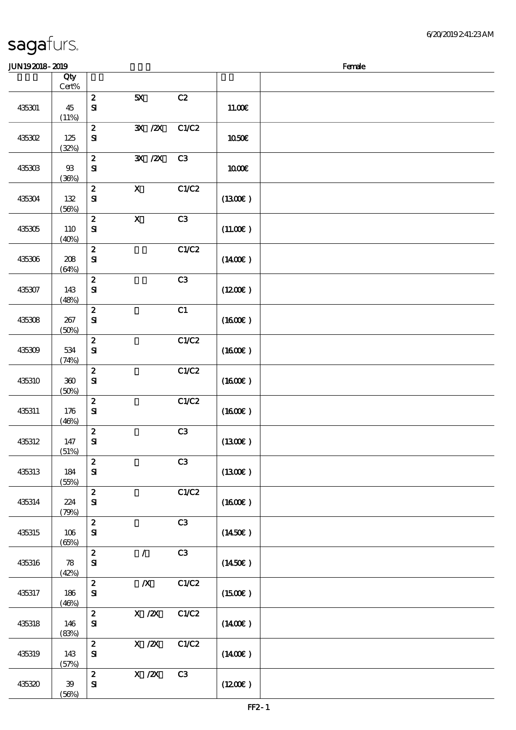#### $J/N192018 - 2019$

| uu waxay aho |                                     |                                  |                                                                                                |                |                     | <u>raine</u> |
|--------------|-------------------------------------|----------------------------------|------------------------------------------------------------------------------------------------|----------------|---------------------|--------------|
|              | Qty<br>$\mbox{Cert}\%$              |                                  |                                                                                                |                |                     |              |
| 435301       | 45<br>(11%)                         | $\boldsymbol{2}$<br>$\mathbf{S}$ | 5X                                                                                             | C2             | 11.00E              |              |
| 435302       | $125\,$<br>(32%)                    | $\pmb{2}$<br>$\mathbf{S}$        | $\mathbf{X}$ / $\mathbf{X}$                                                                    | C1/C2          | 1050E               |              |
| 435303       | $93\,$<br>(36%)                     | $\pmb{2}$<br>$\mathbf{S}$        | $\mathbf{X}$ / $\mathbf{X}$                                                                    | C <sub>3</sub> | 1000E               |              |
| 435304       | $132\,$<br>(56%)                    | $\pmb{2}$<br>$\mathbf{S}$        | $\mathbf X$                                                                                    | C1/C2          | (1300)              |              |
| 435305       | 110<br>(40%)                        | $\pmb{2}$<br>${\bf S}$           | $\boldsymbol{\mathsf{X}}$                                                                      | C3             | (11.00)             |              |
| 435306       | 208<br>(64%)                        | $\boldsymbol{2}$<br>${\bf S\!I}$ |                                                                                                | C1/C2          | $(1400\varepsilon)$ |              |
| 435307       | 143<br>(48%)                        | $\pmb{2}$<br>$\bf S\!I$          |                                                                                                | C3             | (1200E)             |              |
| 435308       | 267<br>(50%)                        | $\pmb{2}$<br>${\bf S}$           |                                                                                                | C1             | (1600E)             |              |
| 435309       | 534<br>(74%)                        | $\pmb{2}$<br>$\mathbf{S}$        |                                                                                                | C1/C2          | $(1600\varepsilon)$ |              |
| 435310       | $360\,$<br>(50%)                    | $\pmb{2}$<br>$\mathbf{S}$        |                                                                                                | C1/C2          | (1600)              |              |
| 435311       | 176<br>(46%)                        | $\boldsymbol{2}$<br>$\mathbf{S}$ |                                                                                                | C1/C2          | (1600E)             |              |
| 435312       | $147$<br>(51%)                      | $\boldsymbol{2}$<br>$\mathbf{S}$ |                                                                                                | C3             | (1300)              |              |
| 435313       | 184<br>(55%)                        | $\pmb{2}$<br>$\mathbf{S}$        |                                                                                                | C3             | (1300E)             |              |
| 435314       | 224<br>(79%)                        | $\boldsymbol{2}$<br>$\mathbf{S}$ |                                                                                                | C1/C2          | $(1600\varepsilon)$ |              |
| 435315       | 106<br>(65%)                        | $\pmb{2}$<br>$\mathbf{S}$        |                                                                                                | C3             | $(1450\varepsilon)$ |              |
| 435316       | $\boldsymbol{\mathcal{B}}$<br>(42%) | $\pmb{2}$<br>${\bf S}$           | $\mathcal{L}$                                                                                  | C3             | (1450E)             |              |
| 435317       | 186<br>(46%)                        | $\pmb{2}$<br>${\bf S}$           | $\boldsymbol{X}$                                                                               | C1/C2          | $(1500\varepsilon)$ |              |
| 435318       | 146<br>(83%)                        | $\pmb{2}$<br>$\mathbf{S}$        | $\boldsymbol{\mathrm{X}}$ / <b>2X</b>                                                          | C1/C2          | $(1400\varepsilon)$ |              |
| 435319       | 143<br>(57%)                        | $\pmb{2}$<br>$\mathbf{S}$        | $\boldsymbol{\mathrm{X}}$ / <b><math>\boldsymbol{\mathrm{Z}}\boldsymbol{\mathrm{X}}</math></b> | C1/C2          | $(1400\varepsilon)$ |              |
| 435320       | 39<br>(56%)                         | $\boldsymbol{2}$<br>$\mathbf{S}$ | $\boldsymbol{\mathrm{X}}$ / $\boldsymbol{\mathrm{Z}}\boldsymbol{\mathrm{X}}$                   | C3             | (1200E)             |              |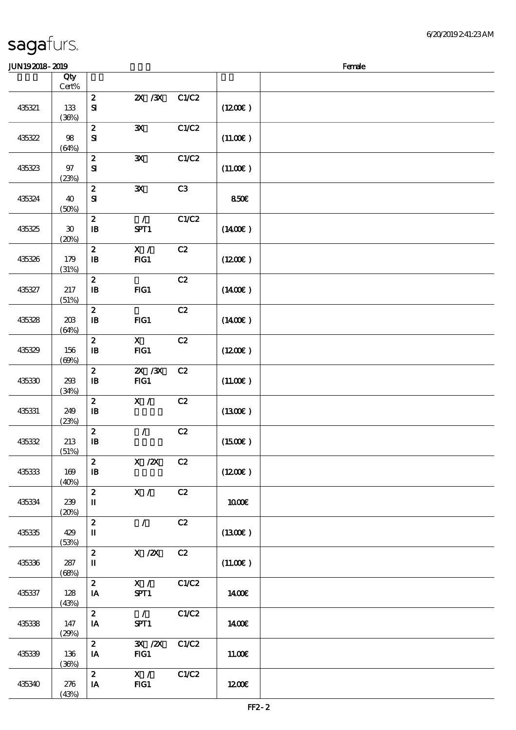| <b>JUN192018-2019</b> |                                      |                                                |                                      |       |                     | Female |
|-----------------------|--------------------------------------|------------------------------------------------|--------------------------------------|-------|---------------------|--------|
|                       | Qty                                  |                                                |                                      |       |                     |        |
| 435321                | Cert%<br>133<br>(36%)                | $\boldsymbol{z}$<br>$\mathbf{S}$               | 2X / 3X                              | C1/C2 | (1200E)             |        |
| 435322                | 98<br>(64%)                          | $\boldsymbol{z}$<br>${\bf s}$                  | $\mathbf{x}$                         | C1/C2 | (11.00)             |        |
| 435323                | 97<br>(23%)                          | $\boldsymbol{2}$<br>${\bf S}$                  | $\mathbf{x}$                         | C1/C2 | (11.00)             |        |
| 435324                | 40<br>(50%)                          | $\boldsymbol{2}$<br>${\bf s}$                  | ${\bf X}$                            | C3    | 850€                |        |
| 435325                | $\boldsymbol{\mathfrak{D}}$<br>(20%) | $\boldsymbol{2}$<br>$\, {\bf I} \! {\bf B} \,$ | $\mathcal{L}$<br>SPT1                | C1/C2 | (1400E)             |        |
| 435326                | 179<br>(31%)                         | $\boldsymbol{2}$<br>$\, {\bf I} \! {\bf B} \,$ | X /<br>FG1                           | C2    | (1200E)             |        |
| 435327                | $217\,$<br>(51%)                     | $\pmb{2}$<br>$\, {\bf I} \! {\bf B} \,$        | FG1                                  | C2    | $(1400\varepsilon)$ |        |
| 435328                | 203<br>(64%)                         | $\boldsymbol{2}$<br>$\, {\bf I} \! {\bf B} \,$ | $HG1$                                | C2    | $(1400\epsilon)$    |        |
| 435329                | 156<br>(69%)                         | $\boldsymbol{2}$<br>$\mathbf{B}$               | $\mathbf{x}$<br>FG1                  | C2    | (1200E)             |        |
| 435330                | 293<br>(34%)                         | $\boldsymbol{z}$<br>$\mathbf{B}$               | $ZX$ $ZX$<br>FG1                     | C2    | (11.00)             |        |
| 435331                | 249<br>(23%)                         | $\boldsymbol{2}$<br>$\mathbf{B}$               | X /                                  | C2    | (1300)              |        |
| 435332                | 213<br>(51%)                         | $\boldsymbol{2}$<br>$\mathbf I\mathbf B$       | $\mathcal{L}$                        | C2    | (1500E)             |        |
| 435333                | 169<br>(40%)                         | $\mathbf{z}$<br>$\bf I\bf B$                   | X / ZX C2                            |       | (1200E)             |        |
| 435334                | 239<br>(20%)                         | 2 <sup>1</sup><br>П                            | X /                                  | C2    | 1000E               |        |
| 435335                | 429<br>(53%)                         | $\boldsymbol{z}$<br>$\mathbf I$                | $\mathcal{L}$                        | C2    | $(1300\varepsilon)$ |        |
| 435336                | 287<br>(68%)                         | $\boldsymbol{2}$<br>П                          | X / ZX                               | C2    | (11.00)             |        |
| 435337                | 128<br>(43%)                         | $\mathbf{2}$<br>IA                             | X / C<br>SPT1                        | C1/C2 | 1400E               |        |
| 435338                | 147<br>(29%)                         | $\mathbf{2}$<br>IA                             | $\overline{\phantom{0}}$<br>SPT1     | C1/C2 | 1400E               |        |
| 435339                | 136<br>(36%)                         | $\mathbf{z}$<br>IA                             | $\mathbf{X}$ / $\mathbf{X}$<br>$HG1$ | C1/C2 | 11.00E              |        |
| 435340                | 276<br>(43%)                         | $\mathbf{2}$<br>IA                             | $\mathbf{X}$ /<br>FG1                | C1/C2 | 1200                |        |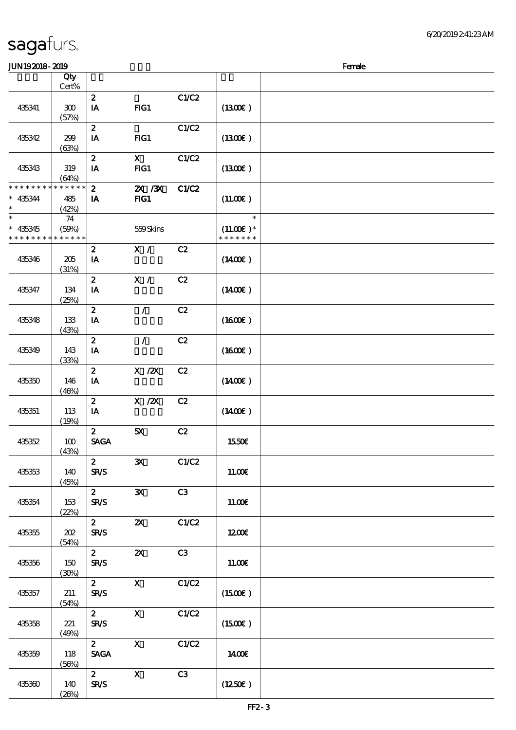| <b>saga</b> furs. |  |
|-------------------|--|
|                   |  |

| <b>JUN192018-2019</b>                   |                             |                                 |                           |       |                                        | Female |
|-----------------------------------------|-----------------------------|---------------------------------|---------------------------|-------|----------------------------------------|--------|
|                                         | Qty<br>Cert%                |                                 |                           |       |                                        |        |
| 435341                                  | 300<br>(57%)                | $\boldsymbol{z}$<br>IA          | FG1                       | C1/C2 | (1300E)                                |        |
| 435342                                  | 299<br>(63%)                | $\boldsymbol{z}$<br>IA          | $HG1$                     | C1/C2 | (1300E)                                |        |
| 435343                                  | 319<br>(64%)                | $\boldsymbol{z}$<br>IA          | $\mathbf{x}$<br>FG1       | C1/C2 | (1300)                                 |        |
| * * * * * * * *<br>$* 435344$<br>$\ast$ | * * * * * *<br>485<br>(42%) | $\boldsymbol{z}$<br>IA          | 2X / 3X<br>$HG1$          | C1/C2 | (11.00)                                |        |
| $\ast$<br>$* 435345$<br>* * * * * * * * | 74<br>(50%)<br>* * * * * *  |                                 | 559Skins                  |       | $\ast$<br>$(11.00)$ *<br>* * * * * * * |        |
| 435346                                  | 205<br>(31%)                | $\boldsymbol{z}$<br>IA          | X /                       | C2    | $(1400\epsilon)$                       |        |
| 435347                                  | 134<br>(25%)                | $\boldsymbol{z}$<br>IA          | X /                       | C2    | (1400E)                                |        |
| 435348                                  | 133<br>(43%)                | $\boldsymbol{z}$<br>IA          | $\mathcal{L}$             | C2    | (1600E)                                |        |
| 435349                                  | 143<br>(33%)                | $\boldsymbol{z}$<br>IA          | $\mathcal{L}$             | C2    | (1600)                                 |        |
| 435350                                  | 146<br>(46%)                | $\boldsymbol{z}$<br>IA          | $X$ / $ZX$                | C2    | (1400E)                                |        |
| 435351                                  | 113<br>(19%)                | $\boldsymbol{z}$<br>IA          | $X$ / $ZX$                | C2    | $(1400\varepsilon)$                    |        |
| 435352                                  | 100<br>(43%)                | $\boldsymbol{z}$<br><b>SAGA</b> | 5X                        | C2    | 1550€                                  |        |
| 435353                                  | 140<br>(45%)                | $2^{\circ}$<br><b>SR/S</b>      | $\mathbf{x}$              | C1/C2 | 11.00E                                 |        |
| 435354                                  | 153<br>(22%)                | $2^{\circ}$<br><b>SR/S</b>      | $\mathbf{x}$              | C3    | 11.00E                                 |        |
| 435355                                  | 202<br>(54%)                | $\mathbf{2}$<br><b>SR/S</b>     | $\boldsymbol{\mathsf{Z}}$ | C1/C2 | 1200E                                  |        |
| 435356                                  | 150<br>(30%)                | $\mathbf{2}$<br><b>SR/S</b>     | $\boldsymbol{\mathsf{Z}}$ | C3    | 11.00E                                 |        |
| 435357                                  | 211<br>(54%)                | $\mathbf{2}$<br><b>SR/S</b>     | $\mathbf{x}$              | C1/C2 | (1500E)                                |        |
| 435358                                  | 221<br>(49%)                | $\mathbf{2}$<br><b>SR/S</b>     | $\mathbf{x}$              | C1/C2 | $(1500\varepsilon)$                    |        |
| 435359                                  | 118<br>(56%)                | $2^{\circ}$<br><b>SAGA</b>      | $\mathbf{x}$              | C1/C2 | 1400E                                  |        |
| 435360                                  | 140<br>(20%)                | $2^{\circ}$<br><b>SR/S</b>      | $\boldsymbol{\mathrm{X}}$ | C3    | (1250E)                                |        |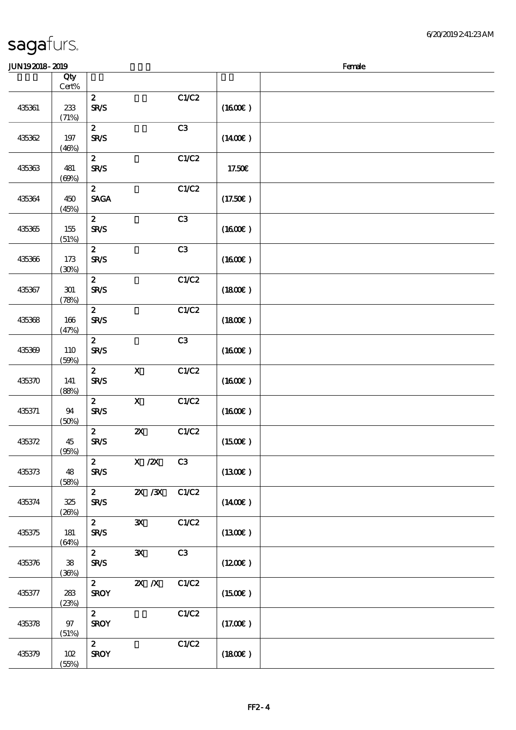| <b>JUN192018-2019</b> |                     |                                 |                           |                |                     | Female |
|-----------------------|---------------------|---------------------------------|---------------------------|----------------|---------------------|--------|
|                       | Qty<br>Cert%        |                                 |                           |                |                     |        |
| 435361                | 233<br>(71%)        | $\boldsymbol{z}$<br><b>SR/S</b> |                           | C1/C2          | (1600)              |        |
| 435362                | 197<br>(46%)        | $\boldsymbol{z}$<br><b>SR/S</b> |                           | C3             | $(1400\varepsilon)$ |        |
| 435363                | 481<br>(60%)        | $\boldsymbol{z}$<br><b>SR/S</b> |                           | C1/C2          | 17.50€              |        |
| 435364                | 450<br>(45%)        | $\boldsymbol{z}$<br><b>SAGA</b> |                           | C1/C2          | (17.50)             |        |
| 435365                | 155<br>(51%)        | $\boldsymbol{z}$<br><b>SR/S</b> |                           | C3             | (1600)              |        |
| 435366                | 173<br>(30%)        | $\boldsymbol{z}$<br><b>SR/S</b> |                           | C <sub>3</sub> | (1600E)             |        |
| 435367                | 301<br>(78%)        | $\boldsymbol{z}$<br><b>SR/S</b> |                           | C1/C2          | (1800)              |        |
| 435368                | 166<br>(47%)        | $\boldsymbol{z}$<br><b>SR/S</b> |                           | C1/C2          | (1800)              |        |
| 435369                | 110<br>(50%)        | $\boldsymbol{z}$<br><b>SR/S</b> |                           | C3             | (1600E)             |        |
| 435370                | 141<br>(88%)        | $\boldsymbol{z}$<br><b>SR/S</b> | $\boldsymbol{\mathrm{X}}$ | C1/C2          | (1600)              |        |
| 435371                | 94<br>(50%)         | $\boldsymbol{z}$<br><b>SR/S</b> | $\boldsymbol{\mathsf{X}}$ | C1/C2          | (1600)              |        |
| 435372                | 45<br>(95%)         | $\mathbf{z}$<br><b>SR/S</b>     | $\pmb{\mathsf{z}}$        | C1/C2          | (1500E)             |        |
| 435373                | 48<br>(58%)         | $\mathbf{2}$<br><b>SR/S</b>     | X / ZX                    | C3             | (1300)              |        |
| 435374                | 325<br>(20%)        | $2^{\circ}$<br><b>SR/S</b>      | 2X /3X C1/C2              |                | $(1400\varepsilon)$ |        |
| 435375                | 181<br>(64%)        | $\mathbf{2}$<br><b>SR/S</b>     | $\mathbf{x}$              | C1/C2          | $(1300\epsilon)$    |        |
| 435376                | ${\bf 38}$<br>(36%) | $\mathbf{2}$<br><b>SR/S</b>     | $\mathbf{x}$              | C3             | (1200)              |        |
| 435377                | 283<br>(23%)        | $\mathbf{2}$<br><b>SROY</b>     | $X$ $N$                   | C1/C2          | (1500E)             |        |
| 435378                | 97<br>(51%)         | $\mathbf{z}$<br><b>SROY</b>     |                           | C1/C2          | (17.00)             |        |
| 435379                | 102<br>(55%)        | $\mathbf{2}$<br><b>SROY</b>     |                           | C1/C2          | (1800)              |        |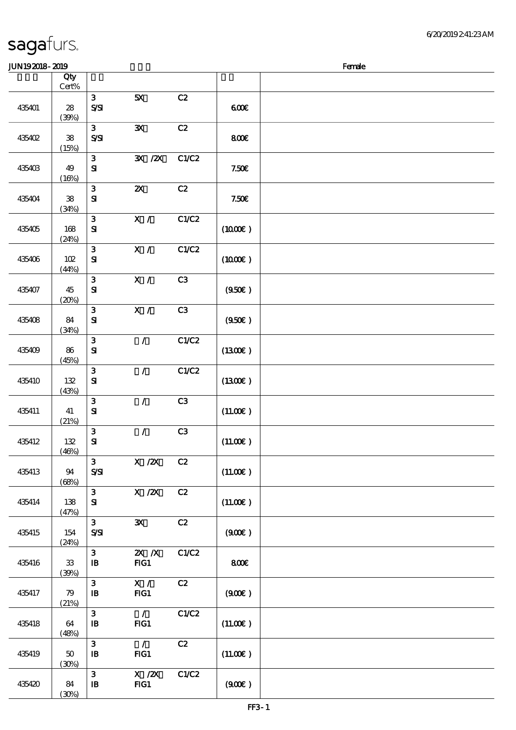#### $J<sub>W102018</sub>$  2010  $J<sub>W102018</sub>$  2010

| JUNIJAJIO- AJIJ |                        |                                            |                             |                |                     | ranae |
|-----------------|------------------------|--------------------------------------------|-----------------------------|----------------|---------------------|-------|
|                 | Qty<br>$\mbox{Cert}\%$ |                                            |                             |                |                     |       |
| 435401          | 28<br>(39%)            | $\mathbf{3}$<br>$S\mathbf{S}$              | 5X                          | C2             | 600                 |       |
| 435402          | ${\bf 38}$<br>(15%)    | 3 <sup>1</sup><br>$S\!S\!S\!I$             | $\mathbf{x}$                | C2             | 800                 |       |
| 435403          | 49<br>(16%)            | $\mathbf{3}$<br>${\bf S\hspace{-.075ex}I}$ | $\mathbf{X}$ / $\mathbf{X}$ | C1/C2          | 7.50E               |       |
| 435404          | ${\bf 38}$<br>(34%)    | $\mathbf{3}$<br>${\bf s}$                  | $\boldsymbol{\mathsf{Z}}$   | C2             | 7.50E               |       |
| 435405          | 168<br>(24%)           | $\mathbf{3}$<br>${\bf s}$                  | X /                         | C1/C2          | (1000E)             |       |
| 435406          | 102<br>(44%)           | $\mathbf{3}$<br>${\bf S\!I}$               | X /                         | C1/C2          | $(1000\varepsilon)$ |       |
| 435407          | 45<br>(20%)            | $\mathbf{3}$<br>$\mathbf{S}$               | X /                         | C3             | (950)               |       |
| 435408          | 84<br>(34%)            | $\mathbf{3}$<br>${\bf S}$                  | X /                         | C <sub>3</sub> | (950)               |       |
| 435409          | 86<br>(45%)            | $\mathbf{3}$<br>${\bf S\!I}$               | $\mathcal{L}$               | C1/C2          | (1300)              |       |
| 435410          | 132<br>(43%)           | $\mathbf{3}$<br>$\mathbf{S}$               | $\mathcal{L}$               | C1/C2          | (1300)              |       |
| 435411          | 41<br>(21%)            | ${\bf 3}$<br>${\bf s}$                     | $\mathcal{L}$               | C3             | (11.00)             |       |
| 435412          | $132$<br>(46%)         | $\mathbf{3}$<br>$\mathbf{S}$               | $\mathcal{L}$               | C3             | (11.00)             |       |
| 435413          | 94<br>(68%)            | $\mathbf{3}$<br>$S\!S\!I$                  | $X$ / $ZX$                  | C2             | (11.00)             |       |
| 435414          | 138<br>(47%)           | $\mathbf{3}$<br>${\bf s}$                  | $X$ / $ZX$                  | C2             | (11.00)             |       |
| 435415          | 154<br>(24%)           | $\mathbf{3}$<br>$S\!S\!I$                  | ${\bf X}$                   | C2             | (900)               |       |
| 435416          | $33\,$<br>(30%)        | $\mathbf{3}$<br>$\mathbf{B}$               | $X$ $X$<br>$HG1$            | C1/C2          | 800€                |       |
| 435417          | 79<br>(21%)            | $\mathbf{3}$<br>$\mathbf{B}$               | $\mathbf{X}$ /<br>FG1       | C2             | (900)               |       |
| 435418          | 64<br>(48%)            | $\mathbf{3}$<br>$\, {\bf I} \! {\bf B} \,$ | $\mathcal{L}$<br>FIG1       | C1/C2          | (11.00)             |       |
| 435419          | 50<br>(30%)            | 3<br>$\, {\bf I} \! {\bf B} \,$            | $\mathcal{L}$<br>$HG1$      | C2             | (11.00)             |       |
| 435420          | 84<br>(30%)            | 3<br>$\, {\bf I} \! {\bf B} \,$            | $X$ / $ZX$<br>FG1           | C1/C2          | (900)               |       |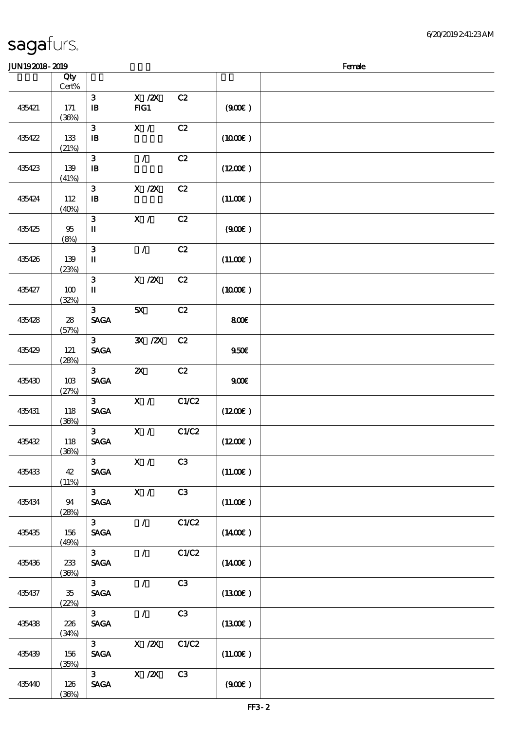#### 6/20/2019 2:41:23 AM

#### $J/N192018$ - 2019  $R$ 顺序号 Qty 说明 价格  $\mathcal{L}$ Cert% 3 X /2X C2 435421 171 (36%) 3 X/ C2 435422 133 (21%) 3 / C2 435423 139 (41%) 3 X /2X C2 435424 112 (40%) 3 X/ C2 435425 \$ (8%) 3 / C2 435426 139 (23%) 3 X /2X C2 435427 100 (32%)

|        | $\mathbf{u}$     |                                                  |                                                                              |       |                     |  |
|--------|------------------|--------------------------------------------------|------------------------------------------------------------------------------|-------|---------------------|--|
| 435421 | 171<br>(36%)     | $\mathbf{3}$<br>$\mathbf{B}$                     | $X$ / $ZX$<br>FG1                                                            | C2    | (900)               |  |
| 435422 | 133<br>(21%)     | 3<br>$\mathbf{B}$                                | X /                                                                          | C2    | (1000E)             |  |
| 435423 | 139<br>(41%)     | $\mathbf{3}$<br>$\, {\bf I} \! {\bf B} \,$       | $\mathcal{L}$                                                                | C2    | (1200)              |  |
| 435424 | 112<br>(40%)     | $\mathbf{3}$<br>$\mathbf{B}$                     | $X$ / $ZX$                                                                   | C2    | (11.00)             |  |
| 435425 | 95<br>(8%)       | $\mathbf{3}$<br>$\mathbf I$                      | X /                                                                          | C2    | (900)               |  |
| 435426 | 139<br>(23%)     | $\mathbf{3}$<br>$\mathbf I$                      | $\mathcal{L}$                                                                | C2    | (11.00)             |  |
| 435427 | 100<br>(32%)     | $\mathbf{3}$<br>$\mathbf I$                      | $\boldsymbol{\mathrm{X}}$ / <b>2X</b>                                        | C2    | $(1000\varepsilon)$ |  |
| 435428 | 28<br>(57%)      | 3 <sup>1</sup><br><b>SAGA</b>                    | 5X                                                                           | C2    | 800€                |  |
| 435429 | 121<br>(28%)     | 3 <sup>1</sup><br><b>SAGA</b>                    | 3X / 2X                                                                      | C2    | 950E                |  |
| 435430 | 10B<br>(27%)     | 3 <sup>1</sup><br><b>SAGA</b>                    | $\boldsymbol{\mathsf{X}}$                                                    | C2    | 900                 |  |
| 435431 | 118<br>(36%)     | 3 <sup>1</sup><br><b>SAGA</b>                    | X /                                                                          | C1/C2 | (1200E)             |  |
| 435432 | 118<br>(36%)     | 3 <sup>1</sup><br>$\operatorname{\mathsf{SAGA}}$ | X /                                                                          | C1/C2 | $(1200\varepsilon)$ |  |
| 435433 | 42<br>(11%)      | 3 <sup>1</sup><br><b>SAGA</b>                    | X /                                                                          | C3    | (11.00)             |  |
| 435434 | 94<br>(28%)      | $\mathbf{3}$<br><b>SAGA</b>                      | X /                                                                          | C3    | (11.00)             |  |
| 435435 | $156\,$<br>(49%) | $\mathbf{3}$<br><b>SAGA</b>                      | $\mathcal{L}$                                                                | C1/C2 | $(1400\varepsilon)$ |  |
| 435436 | 233<br>(36%)     | 3<br><b>SAGA</b>                                 | $\mathcal{L}$                                                                | C1/C2 | $(1400\varepsilon)$ |  |
| 435437 | $35\,$<br>(22%)  | $\mathbf{3}$<br><b>SAGA</b>                      | $\mathcal{L}$                                                                | C3    | (1300)              |  |
| 435438 | 226<br>(34%)     | 3 <sup>1</sup><br><b>SAGA</b>                    | $\mathcal{L}$                                                                | C3    | (1300)              |  |
| 435439 | 156<br>(35%)     | $\mathbf{3}$<br><b>SAGA</b>                      | $X \, /ZX$                                                                   | C1/C2 | (11.00)             |  |
| 435440 | 126<br>(36%)     | 3 <sup>1</sup><br>$\operatorname{\mathsf{SAGA}}$ | $\boldsymbol{\mathrm{X}}$ / $\boldsymbol{\mathrm{Z}}\boldsymbol{\mathrm{X}}$ | C3    | (900)               |  |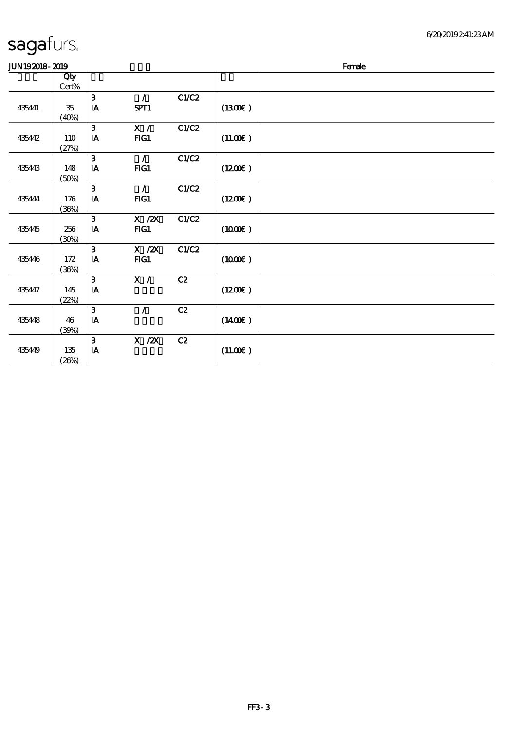| JUN192018-2019 |              |              |               |       | Female              |  |  |
|----------------|--------------|--------------|---------------|-------|---------------------|--|--|
|                | Qty<br>Cert% |              |               |       |                     |  |  |
|                |              | $\mathbf{3}$ | $\mathcal{L}$ | C1/C2 |                     |  |  |
| 435441         | 35           | IA           | SPT1          |       | (1300E)             |  |  |
|                | (40%)        |              |               |       |                     |  |  |
|                |              | 3            | X /           | C1/C2 |                     |  |  |
| 435442         | 110          | IA           | FG1           |       | (11.00)             |  |  |
|                | (27%)        |              |               |       |                     |  |  |
|                |              | 3            | $\mathcal{L}$ | C1/C2 |                     |  |  |
| 435443         | 148          | IA           | $FIG1$        |       | (1200E)             |  |  |
|                | (50%)        |              |               |       |                     |  |  |
|                |              | 3            | $\sqrt{2}$    | C1/C2 |                     |  |  |
| 435444         | 176          | IA           | FG1           |       | (1200E)             |  |  |
|                | (36%)        | 3            | $X \, /ZX$    | C1/C2 |                     |  |  |
| 435445         | 256          | IA           | FG1           |       | (1000E)             |  |  |
|                | (30%)        |              |               |       |                     |  |  |
|                |              | $\mathbf{3}$ | $X \, /ZX$    | C1/C2 |                     |  |  |
| 435446         | 172          | IA           | FG1           |       | (1000E)             |  |  |
|                | (36%)        |              |               |       |                     |  |  |
|                |              | $\mathbf{3}$ | X /           | C2    |                     |  |  |
| 435447         | 145          | IA           |               |       | (1200E)             |  |  |
|                | (22%)        |              |               |       |                     |  |  |
|                |              | 3            | $\prime$      | C2    |                     |  |  |
| 435448         | 46           | IA           |               |       | $(1400\varepsilon)$ |  |  |
|                | (30%)        |              |               |       |                     |  |  |
|                |              | $\mathbf{3}$ | $X$ / $ZX$    | C2    |                     |  |  |
| 435449         | 135          | IA           |               |       | (11.00)             |  |  |
|                | (20%)        |              |               |       |                     |  |  |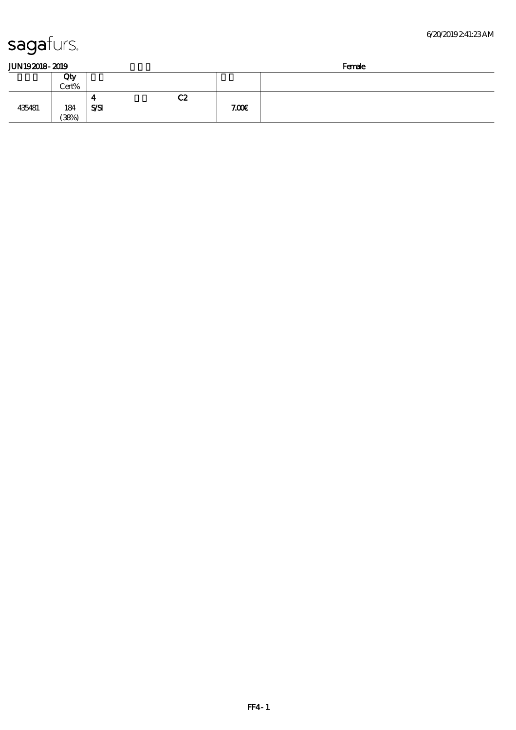$(38%)$ 

| JUN 192018-2019 |       |            |    | Female |  |  |
|-----------------|-------|------------|----|--------|--|--|
|                 | Qty   |            |    |        |  |  |
|                 | Cert% |            |    |        |  |  |
|                 |       | 4          | C2 |        |  |  |
| 435481          | 184   | <b>SSI</b> |    | 7.00E  |  |  |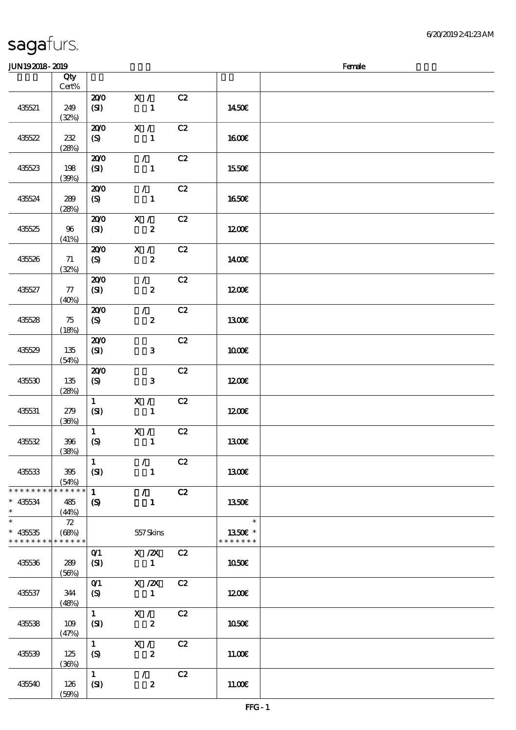| <b>JUN192018-2019</b>                     |                             |                                            |                                                |    |                                                      | Female |
|-------------------------------------------|-----------------------------|--------------------------------------------|------------------------------------------------|----|------------------------------------------------------|--------|
|                                           | Qty                         |                                            |                                                |    |                                                      |        |
|                                           | $Cert\%$                    |                                            |                                                |    |                                                      |        |
| 435521                                    | 249<br>(32%)                | 200<br>(SI)                                | X /<br>$\mathbf{1}$                            | C2 | 1450€                                                |        |
| 435522                                    | 232<br>(28%)                | 200<br>(S)                                 | X /<br>1                                       | C2 | <b>160€</b>                                          |        |
| 435523                                    | 198<br>(30%)                | 200<br>(SI)                                | $\mathcal{L}$<br>$\mathbf{1}$                  | C2 | <b>1550€</b>                                         |        |
| 435524                                    | 289<br>(28%)                | 200<br>(S)                                 | $\mathcal{L}$<br>$\mathbf{1}$                  | C2 | 1650E                                                |        |
| 435525                                    | 96<br>(41%)                 | 200<br>(SI)                                | X /<br>$\boldsymbol{z}$                        | C2 | 1200                                                 |        |
| 435526                                    | 71<br>(32%)                 | 200<br>$\boldsymbol{S}$                    | X /<br>$\boldsymbol{z}$                        | C2 | 1400E                                                |        |
| 435527                                    | 77<br>(40%)                 | 200<br>(SI)                                | $\mathcal{L}$<br>$\boldsymbol{z}$              | C2 | 1200                                                 |        |
| 435528                                    | 75<br>(18%)                 | 200<br>(S)                                 | $\mathcal{F}^{\mathbb{R}}$<br>$\boldsymbol{z}$ | C2 | 1300E                                                |        |
| 435529                                    | 135<br>(54%)                | 200<br>(SI)                                | $\mathbf{3}$                                   | C2 | 1000E                                                |        |
| 435530                                    | 135<br>(28%)                | 200<br>(S)                                 | $\mathbf{3}$                                   | C2 | 1200E                                                |        |
| 435531                                    | 279<br>(36%)                | $\mathbf{1}$<br>(SI)                       | $\mathbf{X}$ /<br>$\mathbf{1}$                 | C2 | 1200                                                 |        |
| 435532                                    | 396<br>(38%)                | $\mathbf{1}$<br>(S)                        | X /<br>$\mathbf{1}$                            | C2 | <b>1300€</b>                                         |        |
| 435533                                    | 395<br>(54%)                | $\mathbf{1}$<br>(SI)                       | $\mathcal{L}$<br>$\mathbf{1}$                  | C2 | <b>1300€</b>                                         |        |
| * * * * * * * *<br>$* 435534$<br>$\ast$   | * * * * * *<br>485<br>(44%) | $\mathbf{1}$<br>$\boldsymbol{\mathcal{S}}$ | $\mathcal{F}$<br>$\mathbf{1}$                  | C2 | 1350E                                                |        |
| $* 435535$<br>* * * * * * * * * * * * * * | 72<br>(68%)                 |                                            | 557Skins                                       |    | $\overline{\phantom{a}}$<br>1350€ *<br>* * * * * * * |        |
| 435536                                    | 289<br>(56%)                | O(1)<br>(SI)                               | $X$ / $ZX$<br>$\mathbf{1}$                     | C2 | 1050E                                                |        |
| 435537                                    | 344<br>(48%)                | $O$ <sup>1</sup><br>$\boldsymbol{S}$       | $X$ / $ZX$<br>$\mathbf{1}$                     | C2 | 1200                                                 |        |
| 435538                                    | 109<br>(47%)                | $\mathbf{1}$<br>(SI)                       | X /<br>$\boldsymbol{z}$                        | C2 | 1050 <sub>E</sub>                                    |        |
| 435539                                    | 125<br>(36%)                | $\mathbf{1}$<br>(S)                        | X /<br>$\boldsymbol{z}$                        | C2 | 11.00E                                               |        |
| 435540                                    | 126<br>(50%)                | $\mathbf{1}$<br>(SI)                       | $\mathcal{F}$<br>$\boldsymbol{z}$              | C2 | 11.00E                                               |        |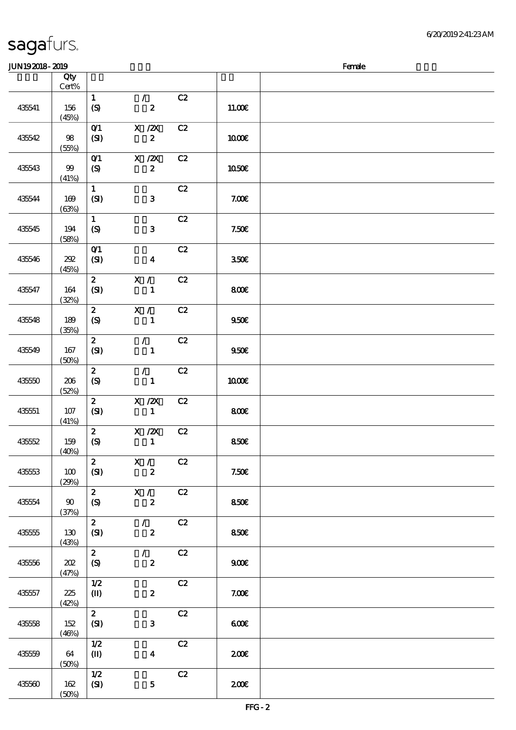| JUN192018-2019 |                       |                                    |                                   |    |                  | Female |
|----------------|-----------------------|------------------------------------|-----------------------------------|----|------------------|--------|
|                | Qty                   |                                    |                                   |    |                  |        |
|                | Cert%                 |                                    |                                   |    |                  |        |
| 435541         | 156<br>(45%)          | $\mathbf{1}$<br>$\boldsymbol{S}$   | $\mathcal{L}$<br>$\boldsymbol{z}$ | C2 | 11.00E           |        |
| 435542         | 98<br>(55%)           | $O$ $1$<br>(SI)                    | $X \, /ZX$<br>$\boldsymbol{z}$    | C2 | 1000E            |        |
| 435543         | $99$<br>(41%)         | $O$ $1$<br>$\boldsymbol{S}$        | X / ZX<br>$\boldsymbol{z}$        | C2 | 1050E            |        |
| 435544         | 169<br>(63%)          | $\mathbf{1}$<br>(SI)               | $\mathbf{3}$                      | C2 | 7.00E            |        |
| 435545         | 194<br>(58%)          | $\mathbf{1}$<br>(S)                | $\mathbf{3}$                      | C2 | 7.50E            |        |
| 435546         | 202<br>(45%)          | $O$ $1$<br>(SI)                    | $\boldsymbol{4}$                  | C2 | 350 <sup>2</sup> |        |
| 435547         | 164<br>(32%)          | $\mathbf{z}$<br>(SI)               | X /<br>$\mathbf{1}$               | C2 | 800E             |        |
| 435548         | 189<br>(35%)          | $\boldsymbol{z}$<br>(S)            | X /<br>$\mathbf{1}$               | C2 | 950E             |        |
| 435549         | 167<br>(50%)          | $\mathbf{z}$<br>(SI)               | $\mathcal{L}$<br>$\mathbf{1}$     | C2 | 950E             |        |
| 435550         | 206<br>(52%)          | $\boldsymbol{z}$<br>(S)            | $\mathcal{F}$<br>$\mathbf{1}$     | C2 | <b>100€</b>      |        |
| 435551         | 107<br>(41%)          | $\mathbf{z}$<br>(SI)               | $X$ / $ZX$<br>$\mathbf{1}$        | C2 | 800              |        |
| 435552         | 159<br>(40%)          | $\mathbf{z}$<br>$\pmb{\text{(S)}}$ | X / ZX<br>$\mathbf{1}$            | C2 | 850€             |        |
| 43553          | 100<br>(29%)          | $\mathbf{z}$<br>(SI)               | X /<br>$\boldsymbol{z}$           | C2 | 7.50E            |        |
| 435554         | $90^{\circ}$<br>(37%) | $\mathbf{2}$<br>$\boldsymbol{S}$   | X /<br>$\boldsymbol{z}$           | C2 | 850E             |        |
| 435555         | 130<br>(43%)          | $\mathbf{z}$<br>(SI)               | $\mathcal{L}$<br>$\boldsymbol{z}$ | C2 | 850E             |        |
| 435556         | 202<br>(47%)          | $\boldsymbol{z}$<br>(S)            | $\mathcal{L}$<br>$\boldsymbol{z}$ | C2 | 900E             |        |
| 435557         | 225<br>(42%)          | 1/2<br>$(\mathbf{I})$              | $\boldsymbol{z}$                  | C2 | 7.00E            |        |
| 435558         | 152<br>(46%)          | $\mathbf{z}$<br>(SI)               | $\mathbf{3}$                      | C2 | 600              |        |
| 435559         | 64<br>(50%)           | 1/2<br>$(\mathbf{I})$              | $\boldsymbol{4}$                  | C2 | 200E             |        |
| 435560         | 162<br>(50%)          | 1/2<br>(SI)                        | $\mathbf 5$                       | C2 | 200E             |        |